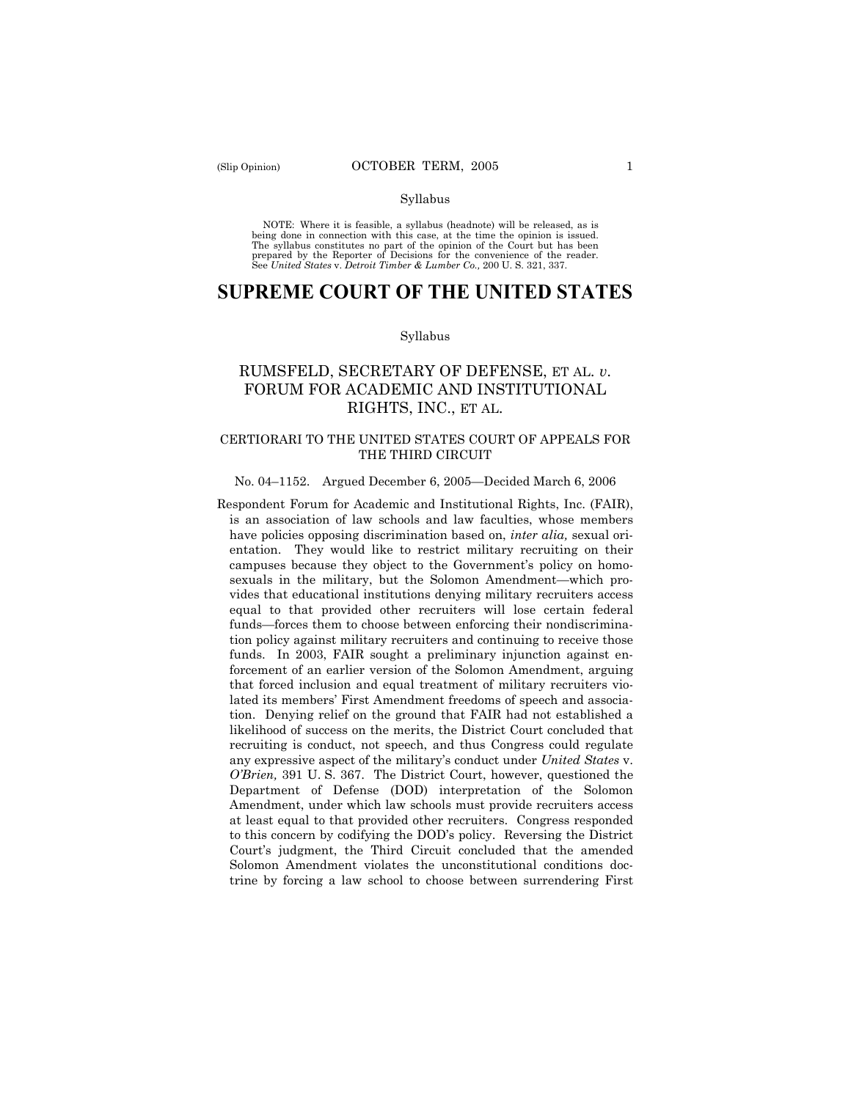#### Syllabus

NOTE: Where it is feasible, a syllabus (headnote) will be released, as is being done in connection with this case, at the time the opinion is issued. The syllabus constitutes no part of the opinion of the Court but has been<br>prepared by the Reporter of Decisions for the convenience of the reader.<br>See United States v. Detroit Timber & Lumber Co., 200 U. S. 321, 337.

# **SUPREME COURT OF THE UNITED STATES**

#### Syllabus

# RUMSFELD, SECRETARY OF DEFENSE, ET AL. *v*. FORUM FOR ACADEMIC AND INSTITUTIONAL RIGHTS, INC., ET AL.

# CERTIORARI TO THE UNITED STATES COURT OF APPEALS FOR THE THIRD CIRCUIT

#### No. 04–1152. Argued December 6, 2005—Decided March 6, 2006

Respondent Forum for Academic and Institutional Rights, Inc. (FAIR), is an association of law schools and law faculties, whose members have policies opposing discrimination based on, *inter alia,* sexual orientation. They would like to restrict military recruiting on their campuses because they object to the Government's policy on homosexuals in the military, but the Solomon Amendment—which provides that educational institutions denying military recruiters access equal to that provided other recruiters will lose certain federal funds—forces them to choose between enforcing their nondiscrimination policy against military recruiters and continuing to receive those funds. In 2003, FAIR sought a preliminary injunction against enforcement of an earlier version of the Solomon Amendment, arguing that forced inclusion and equal treatment of military recruiters violated its members' First Amendment freedoms of speech and association. Denying relief on the ground that FAIR had not established a likelihood of success on the merits, the District Court concluded that recruiting is conduct, not speech, and thus Congress could regulate any expressive aspect of the military's conduct under *United States* v. *O'Brien,* 391 U. S. 367. The District Court, however, questioned the Department of Defense (DOD) interpretation of the Solomon Amendment, under which law schools must provide recruiters access at least equal to that provided other recruiters. Congress responded to this concern by codifying the DOD's policy. Reversing the District Court's judgment, the Third Circuit concluded that the amended Solomon Amendment violates the unconstitutional conditions doctrine by forcing a law school to choose between surrendering First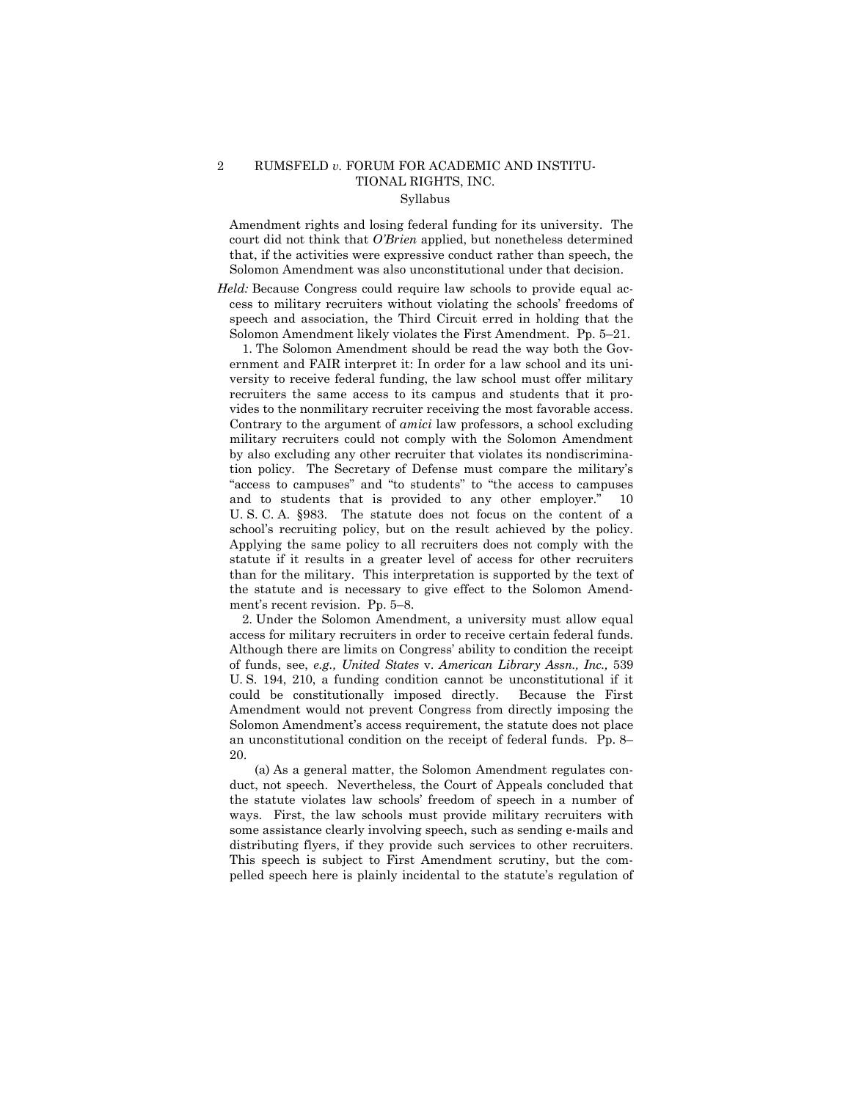# 2 RUMSFELD *v.* FORUM FOR ACADEMIC AND INSTITU-TIONAL RIGHTS, INC. Syllabus

Amendment rights and losing federal funding for its university. The court did not think that *O'Brien* applied, but nonetheless determined that, if the activities were expressive conduct rather than speech, the Solomon Amendment was also unconstitutional under that decision.

*Held:* Because Congress could require law schools to provide equal access to military recruiters without violating the schools' freedoms of speech and association, the Third Circuit erred in holding that the Solomon Amendment likely violates the First Amendment. Pp. 5–21.

1. The Solomon Amendment should be read the way both the Government and FAIR interpret it: In order for a law school and its university to receive federal funding, the law school must offer military recruiters the same access to its campus and students that it provides to the nonmilitary recruiter receiving the most favorable access. Contrary to the argument of *amici* law professors, a school excluding military recruiters could not comply with the Solomon Amendment by also excluding any other recruiter that violates its nondiscrimination policy. The Secretary of Defense must compare the military's "access to campuses" and "to students" to "the access to campuses and to students that is provided to any other employer." 10 U. S. C. A. §983. The statute does not focus on the content of a school's recruiting policy, but on the result achieved by the policy. Applying the same policy to all recruiters does not comply with the statute if it results in a greater level of access for other recruiters than for the military. This interpretation is supported by the text of the statute and is necessary to give effect to the Solomon Amendment's recent revision. Pp. 5–8.

2. Under the Solomon Amendment, a university must allow equal access for military recruiters in order to receive certain federal funds. Although there are limits on Congress' ability to condition the receipt of funds, see, *e.g., United States* v. *American Library Assn., Inc.,* 539 U. S. 194, 210, a funding condition cannot be unconstitutional if it could be constitutionally imposed directly. Because the First Amendment would not prevent Congress from directly imposing the Solomon Amendment's access requirement, the statute does not place an unconstitutional condition on the receipt of federal funds. Pp. 8– 20.

(a) As a general matter, the Solomon Amendment regulates conduct, not speech. Nevertheless, the Court of Appeals concluded that the statute violates law schools' freedom of speech in a number of ways. First, the law schools must provide military recruiters with some assistance clearly involving speech, such as sending e-mails and distributing flyers, if they provide such services to other recruiters. This speech is subject to First Amendment scrutiny, but the compelled speech here is plainly incidental to the statute's regulation of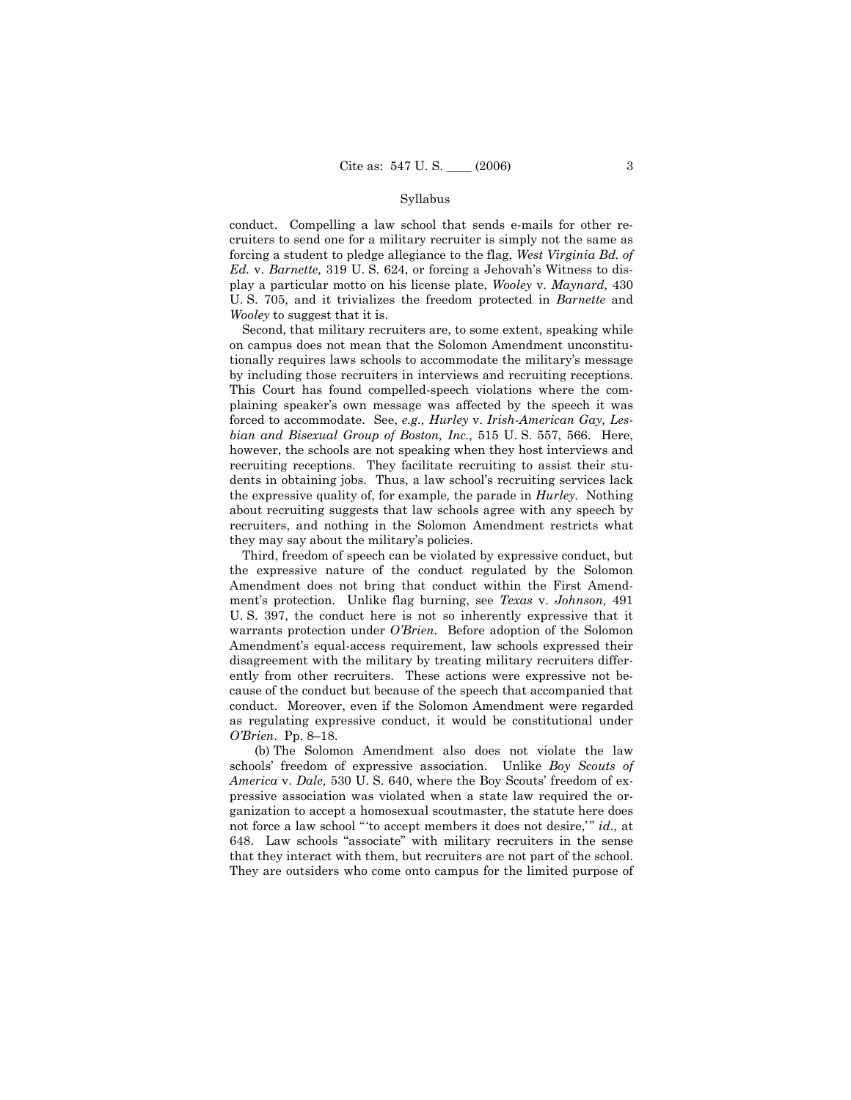#### Syllabus

conduct. Compelling a law school that sends e-mails for other recruiters to send one for a military recruiter is simply not the same as forcing a student to pledge allegiance to the flag, *West Virginia Bd. of Ed.* v. *Barnette,* 319 U. S. 624, or forcing a Jehovah's Witness to display a particular motto on his license plate, *Wooley* v. *Maynard,* 430 U. S. 705, and it trivializes the freedom protected in *Barnette* and *Wooley* to suggest that it is.

Second, that military recruiters are, to some extent, speaking while on campus does not mean that the Solomon Amendment unconstitutionally requires laws schools to accommodate the military's message by including those recruiters in interviews and recruiting receptions. This Court has found compelled-speech violations where the complaining speaker's own message was affected by the speech it was forced to accommodate. See, *e.g., Hurley* v. *Irish-American Gay, Lesbian and Bisexual Group of Boston, Inc.,* 515 U. S. 557, 566. Here, however, the schools are not speaking when they host interviews and recruiting receptions. They facilitate recruiting to assist their students in obtaining jobs. Thus, a law school's recruiting services lack the expressive quality of, for example*,* the parade in *Hurley.* Nothing about recruiting suggests that law schools agree with any speech by recruiters, and nothing in the Solomon Amendment restricts what they may say about the military's policies.

Third, freedom of speech can be violated by expressive conduct, but the expressive nature of the conduct regulated by the Solomon Amendment does not bring that conduct within the First Amendment's protection. Unlike flag burning, see *Texas* v. *Johnson,* 491 U. S. 397, the conduct here is not so inherently expressive that it warrants protection under *O'Brien.* Before adoption of the Solomon Amendment's equal-access requirement, law schools expressed their disagreement with the military by treating military recruiters differently from other recruiters. These actions were expressive not because of the conduct but because of the speech that accompanied that conduct. Moreover, even if the Solomon Amendment were regarded as regulating expressive conduct, it would be constitutional under *O'Brien*. Pp. 8–18.

(b) The Solomon Amendment also does not violate the law schools' freedom of expressive association. Unlike *Boy Scouts of America* v. *Dale,* 530 U. S. 640, where the Boy Scouts' freedom of expressive association was violated when a state law required the organization to accept a homosexual scoutmaster, the statute here does not force a law school "'to accept members it does not desire,'" *id.*, at 648. Law schools "associate" with military recruiters in the sense that they interact with them, but recruiters are not part of the school. They are outsiders who come onto campus for the limited purpose of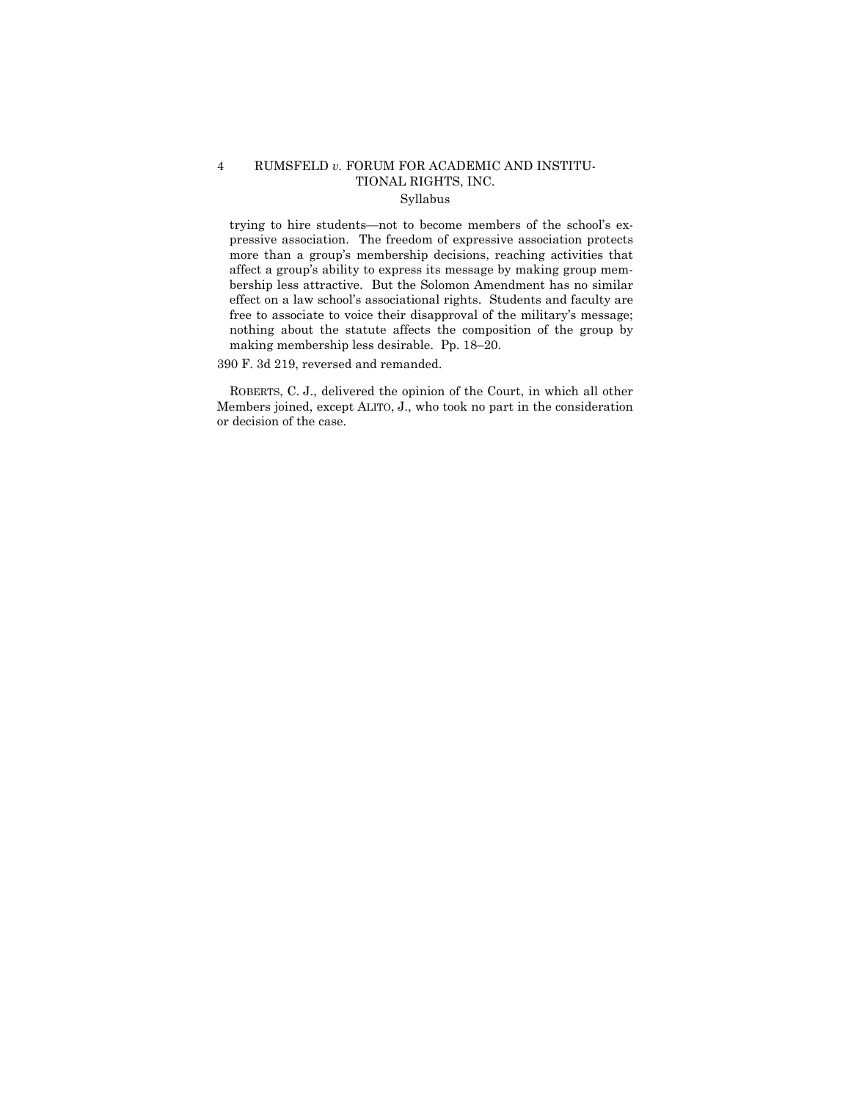# 4 RUMSFELD *v.* FORUM FOR ACADEMIC AND INSTITU-TIONAL RIGHTS, INC. Syllabus

trying to hire students—not to become members of the school's expressive association. The freedom of expressive association protects more than a group's membership decisions, reaching activities that affect a group's ability to express its message by making group membership less attractive. But the Solomon Amendment has no similar effect on a law school's associational rights. Students and faculty are free to associate to voice their disapproval of the military's message; nothing about the statute affects the composition of the group by making membership less desirable. Pp. 18–20.

390 F. 3d 219, reversed and remanded.

ROBERTS, C. J., delivered the opinion of the Court, in which all other Members joined, except ALITO, J., who took no part in the consideration or decision of the case.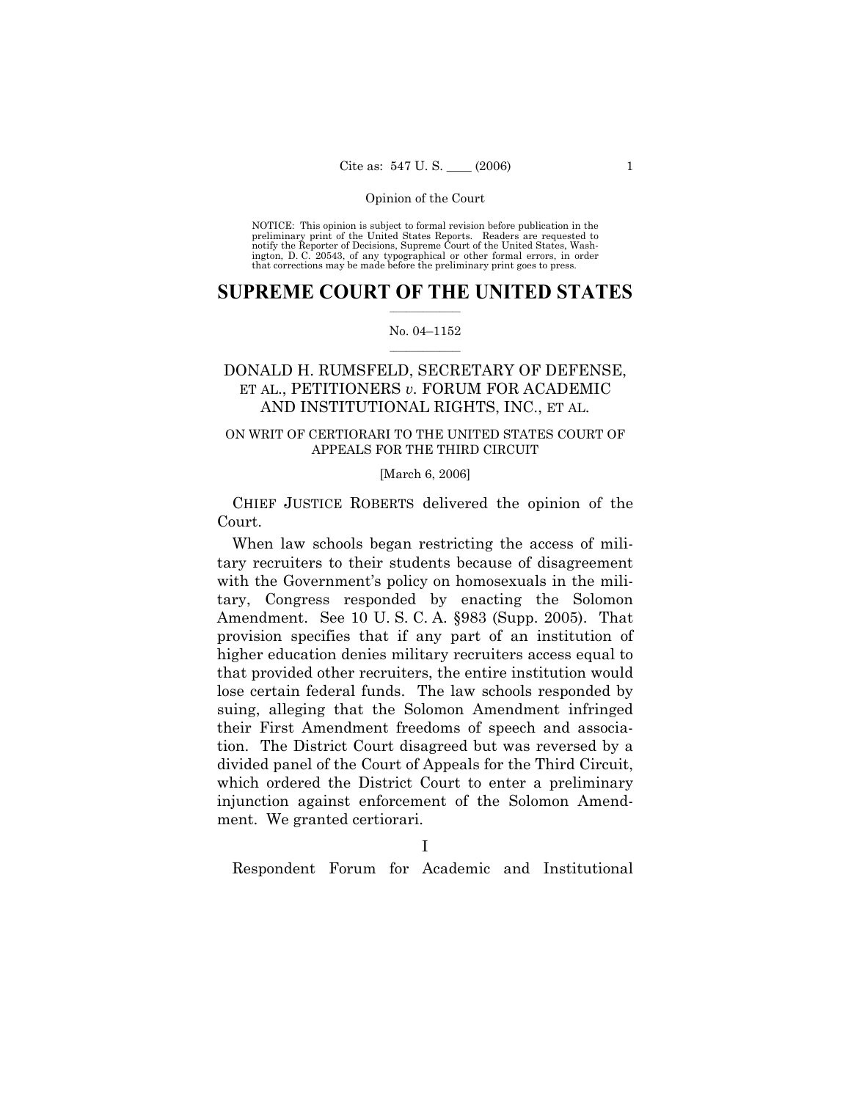NOTICE: This opinion is subject to formal revision before publication in the preliminary print of the United States Reports. Readers are requested to notify the Reporter of Decisions, Supreme Court of the United States, Washington, D. C. 20543, of any typographical or other formal errors, in order that corrections may be made before the preliminary print goes to press.

# $\frac{1}{2}$  ,  $\frac{1}{2}$  ,  $\frac{1}{2}$  ,  $\frac{1}{2}$  ,  $\frac{1}{2}$  ,  $\frac{1}{2}$  ,  $\frac{1}{2}$ **SUPREME COURT OF THE UNITED STATES**

#### $\mathcal{L}=\mathcal{L}$ No. 04–1152

# DONALD H. RUMSFELD, SECRETARY OF DEFENSE, ET AL., PETITIONERS *v.* FORUM FOR ACADEMIC AND INSTITUTIONAL RIGHTS, INC., ET AL.

# ON WRIT OF CERTIORARI TO THE UNITED STATES COURT OF APPEALS FOR THE THIRD CIRCUIT

## [March 6, 2006]

CHIEF JUSTICE ROBERTS delivered the opinion of the Court.

When law schools began restricting the access of military recruiters to their students because of disagreement with the Government's policy on homosexuals in the military, Congress responded by enacting the Solomon Amendment. See 10 U. S. C. A. §983 (Supp. 2005). That provision specifies that if any part of an institution of higher education denies military recruiters access equal to that provided other recruiters, the entire institution would lose certain federal funds. The law schools responded by suing, alleging that the Solomon Amendment infringed their First Amendment freedoms of speech and association. The District Court disagreed but was reversed by a divided panel of the Court of Appeals for the Third Circuit, which ordered the District Court to enter a preliminary injunction against enforcement of the Solomon Amendment. We granted certiorari.

Respondent Forum for Academic and Institutional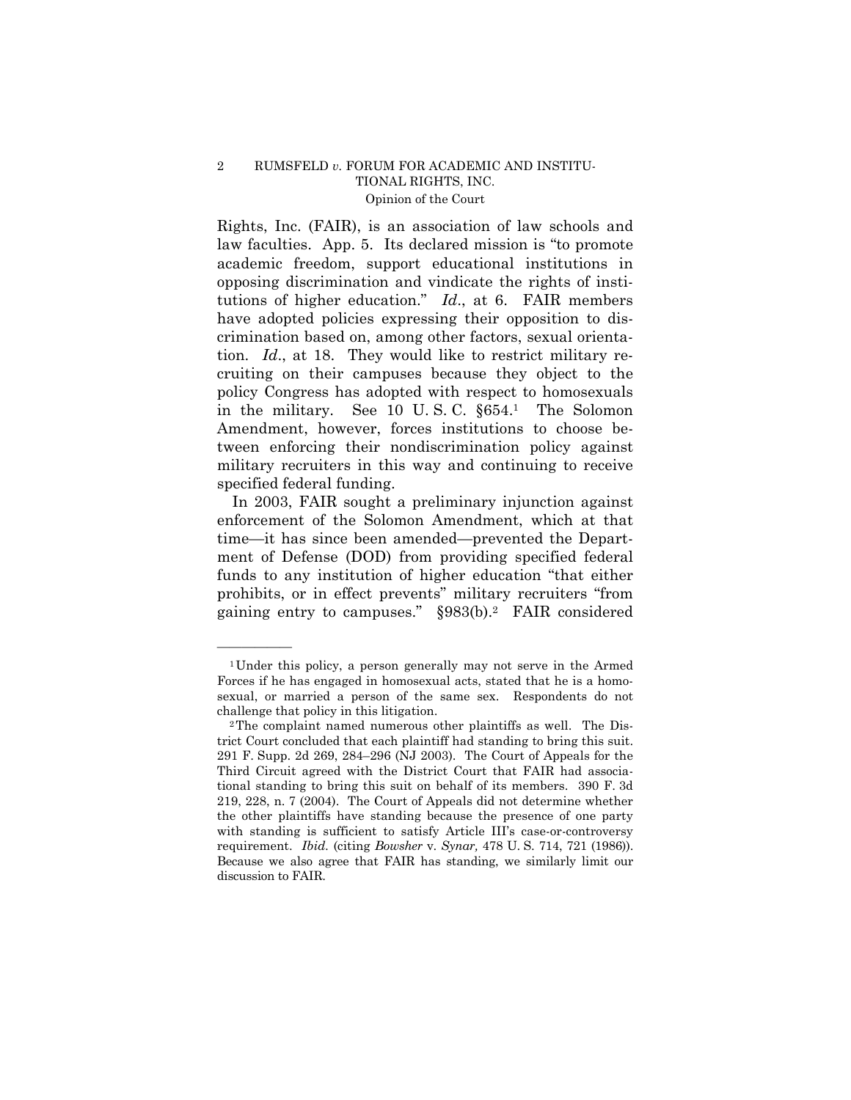Rights, Inc. (FAIR), is an association of law schools and law faculties. App. 5. Its declared mission is "to promote academic freedom, support educational institutions in opposing discrimination and vindicate the rights of institutions of higher education." *Id*., at 6. FAIR members have adopted policies expressing their opposition to discrimination based on, among other factors, sexual orientation. *Id*., at 18. They would like to restrict military recruiting on their campuses because they object to the policy Congress has adopted with respect to homosexuals in the military. See 10 U. S. C. §654.1 The Solomon Amendment, however, forces institutions to choose between enforcing their nondiscrimination policy against military recruiters in this way and continuing to receive specified federal funding.

In 2003, FAIR sought a preliminary injunction against enforcement of the Solomon Amendment, which at that time—it has since been amended—prevented the Department of Defense (DOD) from providing specified federal funds to any institution of higher education "that either prohibits, or in effect prevents" military recruiters "from gaining entry to campuses." §983(b).2 FAIR considered

——————

<sup>1</sup>Under this policy, a person generally may not serve in the Armed Forces if he has engaged in homosexual acts, stated that he is a homosexual, or married a person of the same sex. Respondents do not challenge that policy in this litigation.<br><sup>2</sup>The complaint named numerous other plaintiffs as well. The Dis-

trict Court concluded that each plaintiff had standing to bring this suit. 291 F. Supp. 2d 269, 284–296 (NJ 2003). The Court of Appeals for the Third Circuit agreed with the District Court that FAIR had associational standing to bring this suit on behalf of its members. 390 F. 3d 219, 228, n. 7 (2004). The Court of Appeals did not determine whether the other plaintiffs have standing because the presence of one party with standing is sufficient to satisfy Article III's case-or-controversy requirement. *Ibid.* (citing *Bowsher* v. *Synar,* 478 U. S. 714, 721 (1986)). Because we also agree that FAIR has standing, we similarly limit our discussion to FAIR.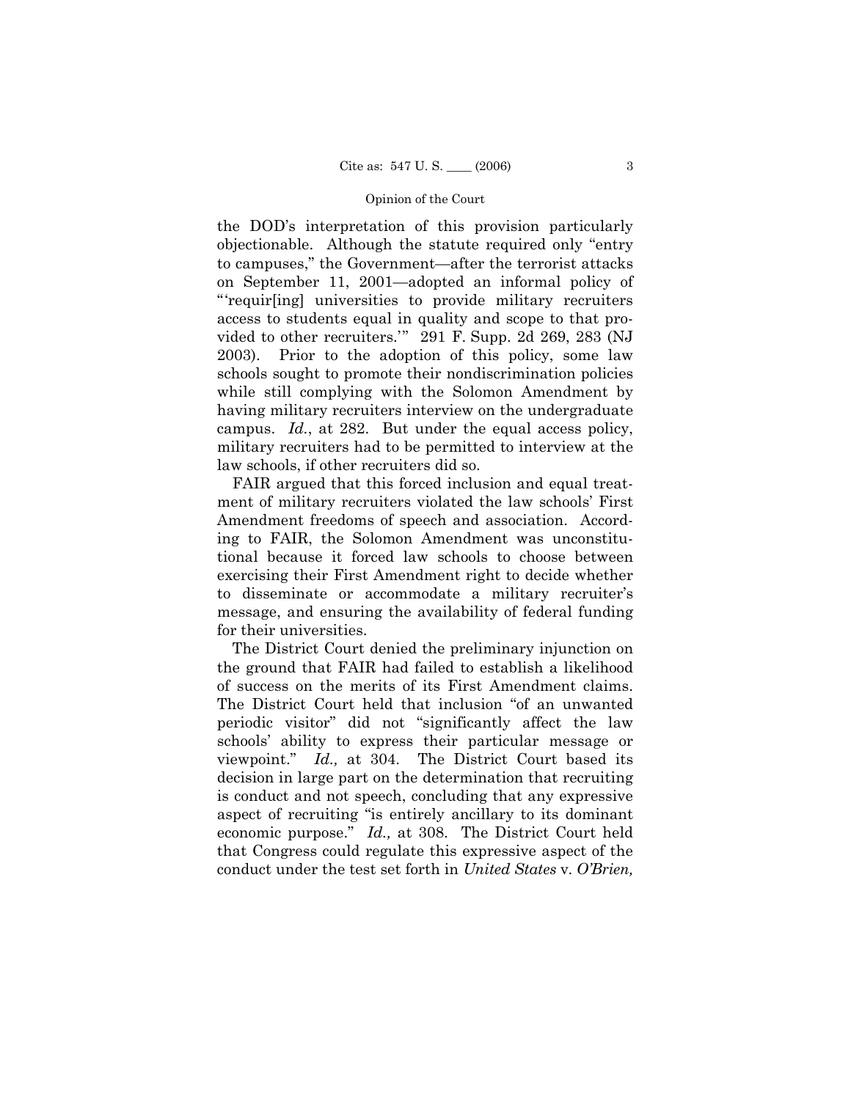the DOD's interpretation of this provision particularly objectionable. Although the statute required only "entry to campuses," the Government—after the terrorist attacks on September 11, 2001—adopted an informal policy of " 'requir[ing] universities to provide military recruiters access to students equal in quality and scope to that provided to other recruiters." 291 F. Supp. 2d 269, 283 (NJ 2003). Prior to the adoption of this policy, some law schools sought to promote their nondiscrimination policies while still complying with the Solomon Amendment by having military recruiters interview on the undergraduate campus. *Id.*, at 282. But under the equal access policy, military recruiters had to be permitted to interview at the law schools, if other recruiters did so.

FAIR argued that this forced inclusion and equal treatment of military recruiters violated the law schools' First Amendment freedoms of speech and association. According to FAIR, the Solomon Amendment was unconstitutional because it forced law schools to choose between exercising their First Amendment right to decide whether to disseminate or accommodate a military recruiter's message, and ensuring the availability of federal funding for their universities.

The District Court denied the preliminary injunction on the ground that FAIR had failed to establish a likelihood of success on the merits of its First Amendment claims. The District Court held that inclusion "of an unwanted periodic visitor" did not "significantly affect the law schools' ability to express their particular message or viewpoint." *Id.,* at 304. The District Court based its decision in large part on the determination that recruiting is conduct and not speech, concluding that any expressive aspect of recruiting "is entirely ancillary to its dominant economic purpose." *Id.,* at 308. The District Court held that Congress could regulate this expressive aspect of the conduct under the test set forth in *United States* v. *O'Brien,*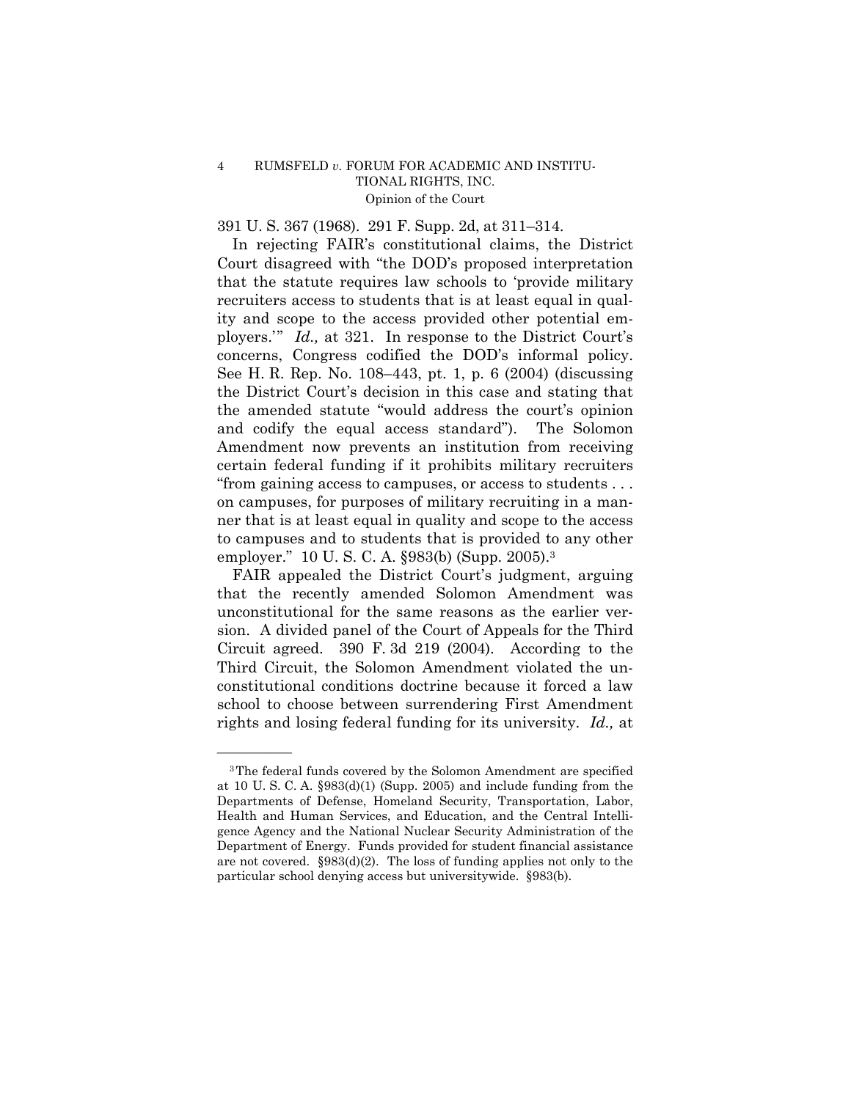# 391 U. S. 367 (1968). 291 F. Supp. 2d, at 311–314.

In rejecting FAIR's constitutional claims, the District Court disagreed with "the DOD's proposed interpretation that the statute requires law schools to 'provide military recruiters access to students that is at least equal in quality and scope to the access provided other potential employers." *Id.*, at 321. In response to the District Court's concerns, Congress codified the DOD's informal policy. See H. R. Rep. No. 108–443, pt. 1, p. 6 (2004) (discussing the District Court's decision in this case and stating that the amended statute "would address the court's opinion and codify the equal access standard"). The Solomon Amendment now prevents an institution from receiving certain federal funding if it prohibits military recruiters "from gaining access to campuses, or access to students . . . on campuses, for purposes of military recruiting in a manner that is at least equal in quality and scope to the access to campuses and to students that is provided to any other employer." 10 U. S. C. A. §983(b) (Supp. 2005).3

FAIR appealed the District Court's judgment, arguing that the recently amended Solomon Amendment was unconstitutional for the same reasons as the earlier version. A divided panel of the Court of Appeals for the Third Circuit agreed. 390 F. 3d 219 (2004). According to the Third Circuit, the Solomon Amendment violated the unconstitutional conditions doctrine because it forced a law school to choose between surrendering First Amendment rights and losing federal funding for its university. *Id.,* at

——————

<sup>3</sup>The federal funds covered by the Solomon Amendment are specified at 10 U. S. C. A. §983(d)(1) (Supp. 2005) and include funding from the Departments of Defense, Homeland Security, Transportation, Labor, Health and Human Services, and Education, and the Central Intelligence Agency and the National Nuclear Security Administration of the Department of Energy. Funds provided for student financial assistance are not covered. §983(d)(2). The loss of funding applies not only to the particular school denying access but universitywide. §983(b).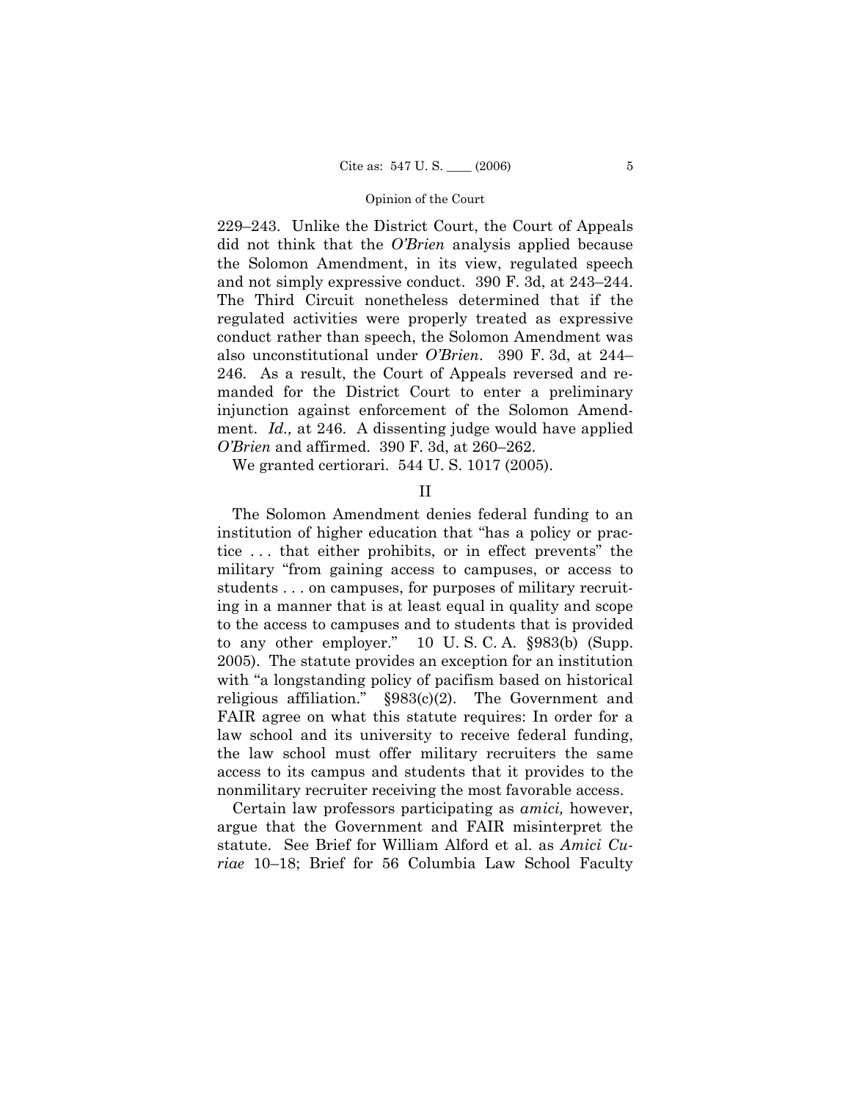229–243. Unlike the District Court, the Court of Appeals did not think that the *O'Brien* analysis applied because the Solomon Amendment, in its view, regulated speech and not simply expressive conduct. 390 F. 3d, at 243–244. The Third Circuit nonetheless determined that if the regulated activities were properly treated as expressive conduct rather than speech, the Solomon Amendment was also unconstitutional under *O'Brien*. 390 F. 3d, at 244– 246. As a result, the Court of Appeals reversed and remanded for the District Court to enter a preliminary injunction against enforcement of the Solomon Amendment. *Id.,* at 246. A dissenting judge would have applied *O'Brien* and affirmed. 390 F. 3d, at 260–262.

We granted certiorari. 544 U. S. 1017 (2005).

### II

The Solomon Amendment denies federal funding to an institution of higher education that "has a policy or practice . . . that either prohibits, or in effect prevents" the military "from gaining access to campuses, or access to students . . . on campuses, for purposes of military recruiting in a manner that is at least equal in quality and scope to the access to campuses and to students that is provided to any other employer." 10 U. S. C. A. §983(b) (Supp. 2005). The statute provides an exception for an institution with "a longstanding policy of pacifism based on historical religious affiliation." §983(c)(2). The Government and FAIR agree on what this statute requires: In order for a law school and its university to receive federal funding, the law school must offer military recruiters the same access to its campus and students that it provides to the nonmilitary recruiter receiving the most favorable access.

Certain law professors participating as *amici,* however, argue that the Government and FAIR misinterpret the statute. See Brief for William Alford et al. as *Amici Curiae* 10–18; Brief for 56 Columbia Law School Faculty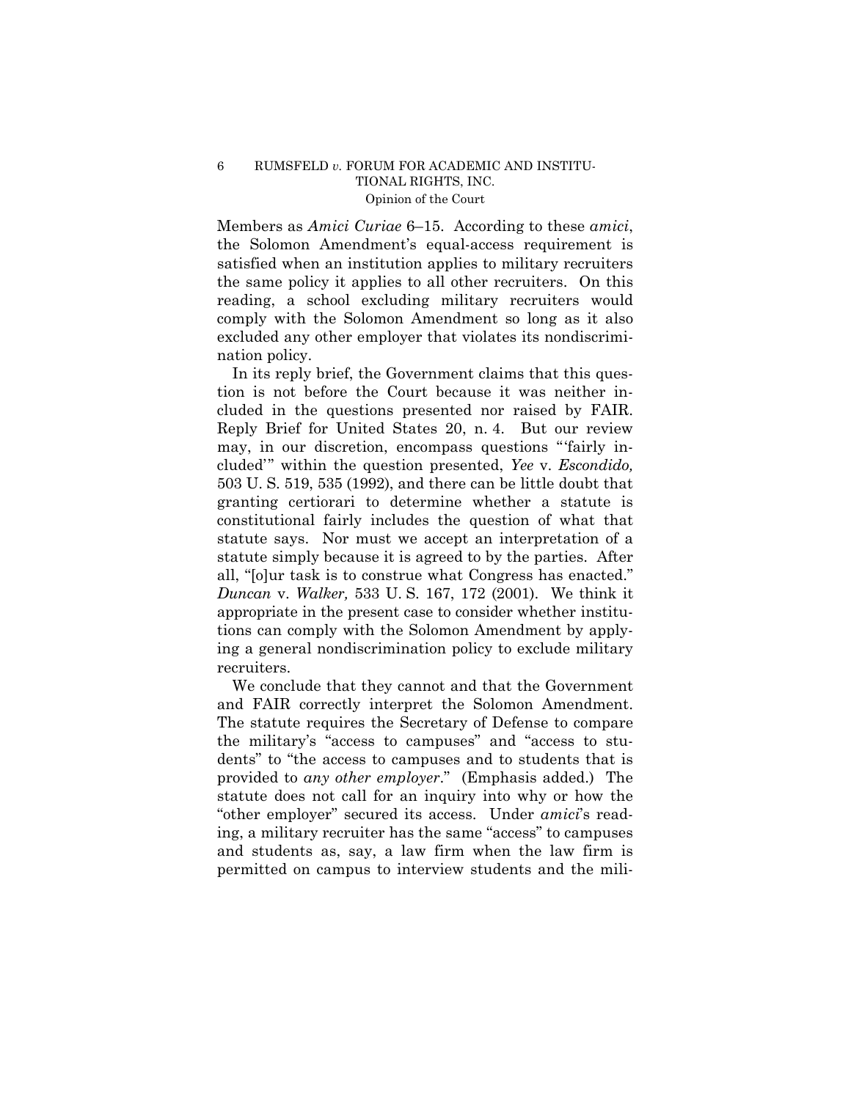Members as *Amici Curiae* 6–15. According to these *amici*, the Solomon Amendment's equal-access requirement is satisfied when an institution applies to military recruiters the same policy it applies to all other recruiters. On this reading, a school excluding military recruiters would comply with the Solomon Amendment so long as it also excluded any other employer that violates its nondiscrimination policy.

In its reply brief, the Government claims that this question is not before the Court because it was neither included in the questions presented nor raised by FAIR. Reply Brief for United States 20, n. 4. But our review may, in our discretion, encompass questions "'fairly included'" within the question presented, *Yee* v. *Escondido*, 503 U. S. 519, 535 (1992), and there can be little doubt that granting certiorari to determine whether a statute is constitutional fairly includes the question of what that statute says. Nor must we accept an interpretation of a statute simply because it is agreed to by the parties. After all, "[o]ur task is to construe what Congress has enacted." *Duncan* v. *Walker,* 533 U. S. 167, 172 (2001). We think it appropriate in the present case to consider whether institutions can comply with the Solomon Amendment by applying a general nondiscrimination policy to exclude military recruiters.

We conclude that they cannot and that the Government and FAIR correctly interpret the Solomon Amendment. The statute requires the Secretary of Defense to compare the military's "access to campuses" and "access to students" to "the access to campuses and to students that is provided to *any other employer*." (Emphasis added.) The statute does not call for an inquiry into why or how the "other employer" secured its access. Under *amici*'s reading, a military recruiter has the same "access" to campuses and students as, say, a law firm when the law firm is permitted on campus to interview students and the mili-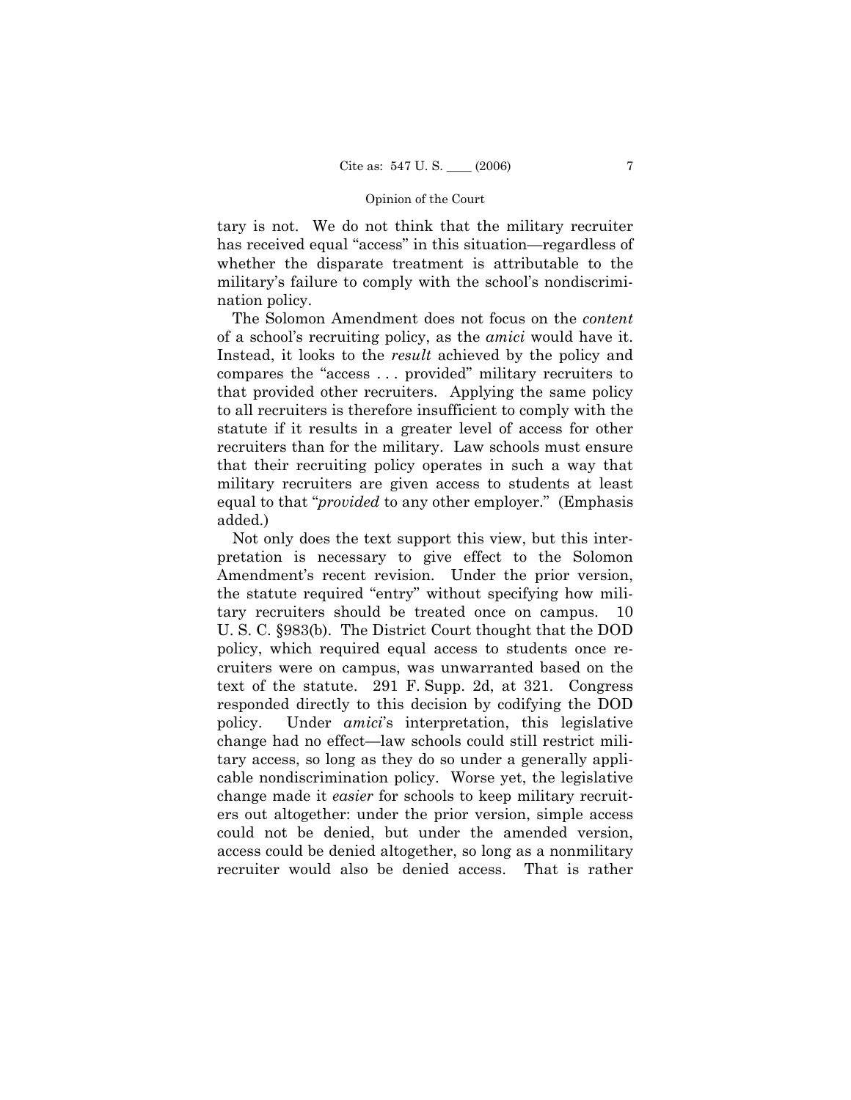tary is not. We do not think that the military recruiter has received equal "access" in this situation—regardless of whether the disparate treatment is attributable to the military's failure to comply with the school's nondiscrimination policy.

The Solomon Amendment does not focus on the *content*  of a school's recruiting policy, as the *amici* would have it. Instead, it looks to the *result* achieved by the policy and compares the "access . . . provided" military recruiters to that provided other recruiters. Applying the same policy to all recruiters is therefore insufficient to comply with the statute if it results in a greater level of access for other recruiters than for the military. Law schools must ensure that their recruiting policy operates in such a way that military recruiters are given access to students at least equal to that "*provided* to any other employer." (Emphasis added.)

Not only does the text support this view, but this interpretation is necessary to give effect to the Solomon Amendment's recent revision. Under the prior version, the statute required "entry" without specifying how military recruiters should be treated once on campus. 10 U. S. C. §983(b). The District Court thought that the DOD policy, which required equal access to students once recruiters were on campus, was unwarranted based on the text of the statute. 291 F. Supp. 2d, at 321. Congress responded directly to this decision by codifying the DOD policy. Under *amici*'s interpretation, this legislative change had no effect—law schools could still restrict military access, so long as they do so under a generally applicable nondiscrimination policy. Worse yet, the legislative change made it *easier* for schools to keep military recruiters out altogether: under the prior version, simple access could not be denied, but under the amended version, access could be denied altogether, so long as a nonmilitary recruiter would also be denied access. That is rather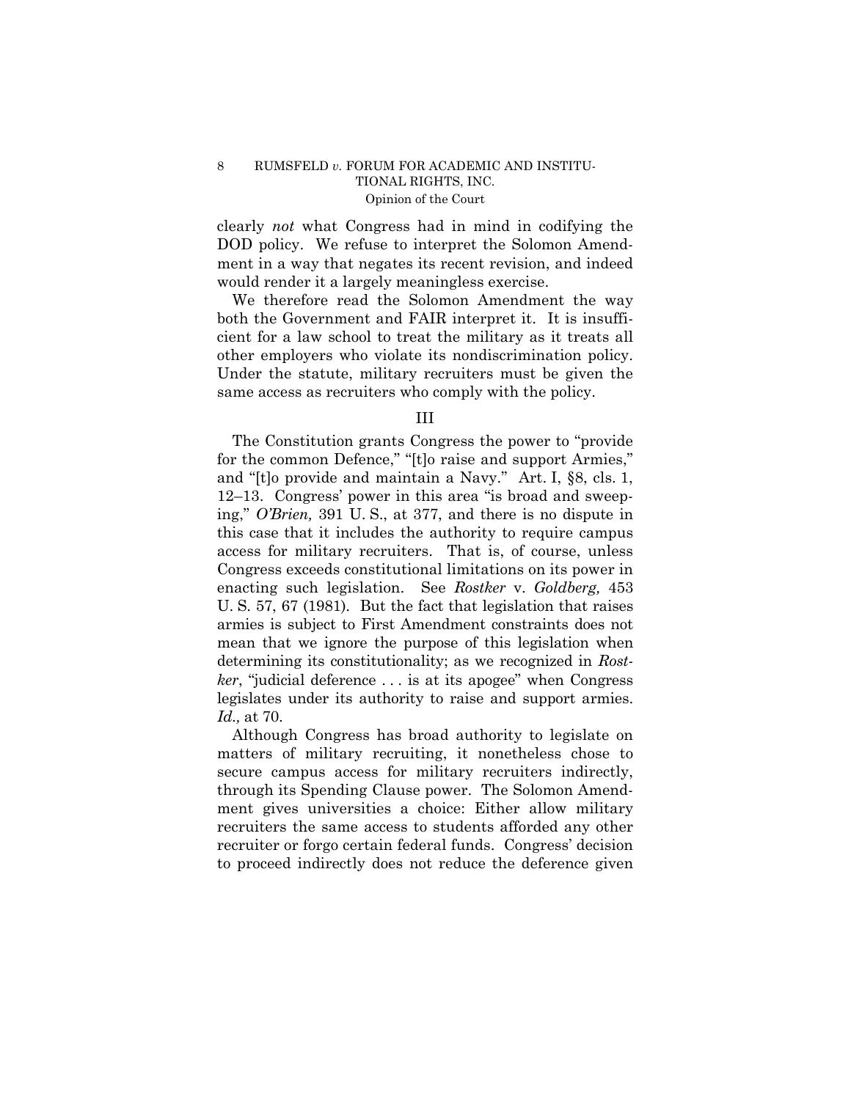clearly *not* what Congress had in mind in codifying the DOD policy. We refuse to interpret the Solomon Amendment in a way that negates its recent revision, and indeed would render it a largely meaningless exercise.

We therefore read the Solomon Amendment the way both the Government and FAIR interpret it. It is insufficient for a law school to treat the military as it treats all other employers who violate its nondiscrimination policy. Under the statute, military recruiters must be given the same access as recruiters who comply with the policy.

## III

The Constitution grants Congress the power to "provide for the common Defence," "[t]o raise and support Armies," and "[t]o provide and maintain a Navy." Art. I, §8, cls. 1, 12–13. Congress' power in this area "is broad and sweeping," *O'Brien,* 391 U. S., at 377, and there is no dispute in this case that it includes the authority to require campus access for military recruiters. That is, of course, unless Congress exceeds constitutional limitations on its power in enacting such legislation. See *Rostker* v. *Goldberg,* 453 U. S. 57, 67 (1981). But the fact that legislation that raises armies is subject to First Amendment constraints does not mean that we ignore the purpose of this legislation when determining its constitutionality; as we recognized in *Rostker*, "judicial deference . . . is at its apogee" when Congress legislates under its authority to raise and support armies. *Id.,* at 70.

Although Congress has broad authority to legislate on matters of military recruiting, it nonetheless chose to secure campus access for military recruiters indirectly, through its Spending Clause power. The Solomon Amendment gives universities a choice: Either allow military recruiters the same access to students afforded any other recruiter or forgo certain federal funds. Congress' decision to proceed indirectly does not reduce the deference given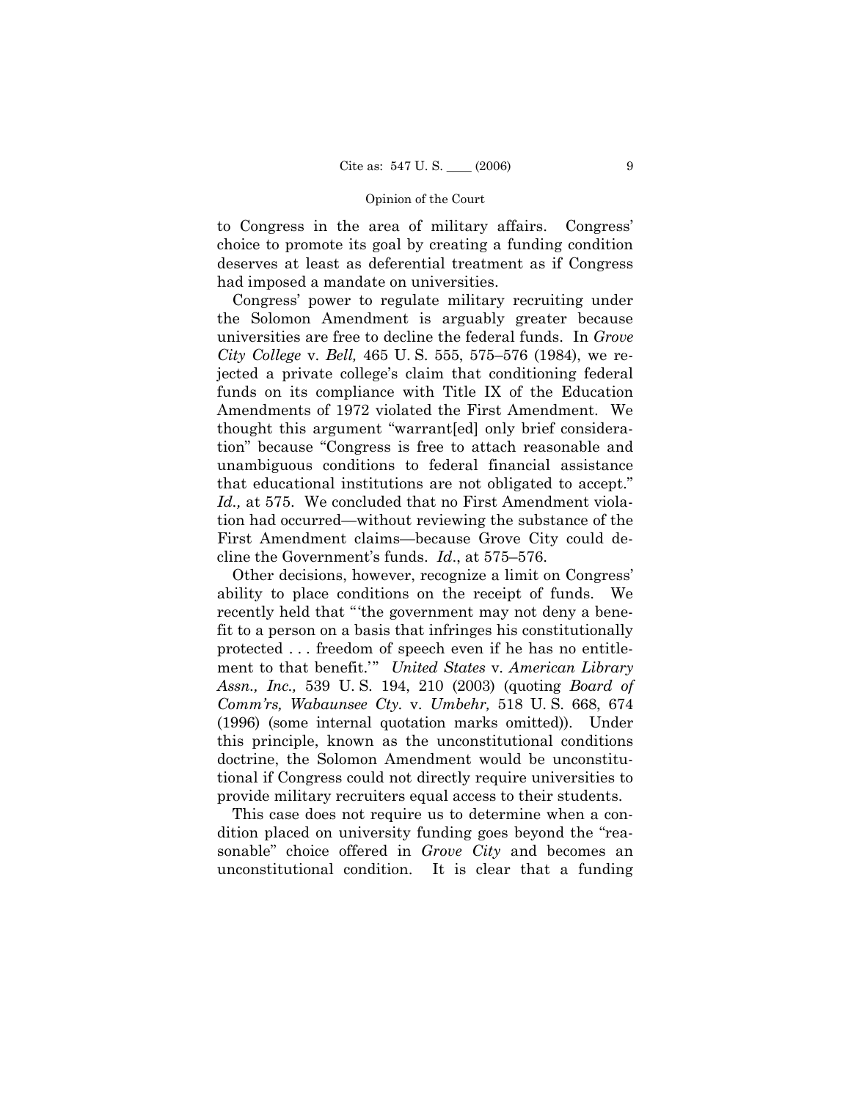to Congress in the area of military affairs. Congress' choice to promote its goal by creating a funding condition deserves at least as deferential treatment as if Congress had imposed a mandate on universities.

Congress' power to regulate military recruiting under the Solomon Amendment is arguably greater because universities are free to decline the federal funds. In *Grove City College* v. *Bell,* 465 U. S. 555, 575–576 (1984), we rejected a private college's claim that conditioning federal funds on its compliance with Title IX of the Education Amendments of 1972 violated the First Amendment. We thought this argument "warrant[ed] only brief consideration" because "Congress is free to attach reasonable and unambiguous conditions to federal financial assistance that educational institutions are not obligated to accept." *Id.,* at 575. We concluded that no First Amendment violation had occurred—without reviewing the substance of the First Amendment claims—because Grove City could decline the Government's funds. *Id*., at 575–576.

Other decisions, however, recognize a limit on Congress' ability to place conditions on the receipt of funds. We recently held that " the government may not deny a benefit to a person on a basis that infringes his constitutionally protected . . . freedom of speech even if he has no entitlement to that benefit." United States v. American Library *Assn., Inc.,* 539 U. S. 194, 210 (2003) (quoting *Board of Comm'rs, Wabaunsee Cty.* v. *Umbehr,* 518 U. S. 668, 674 (1996) (some internal quotation marks omitted)). Under this principle, known as the unconstitutional conditions doctrine, the Solomon Amendment would be unconstitutional if Congress could not directly require universities to provide military recruiters equal access to their students.

This case does not require us to determine when a condition placed on university funding goes beyond the "reasonable" choice offered in *Grove City* and becomes an unconstitutional condition. It is clear that a funding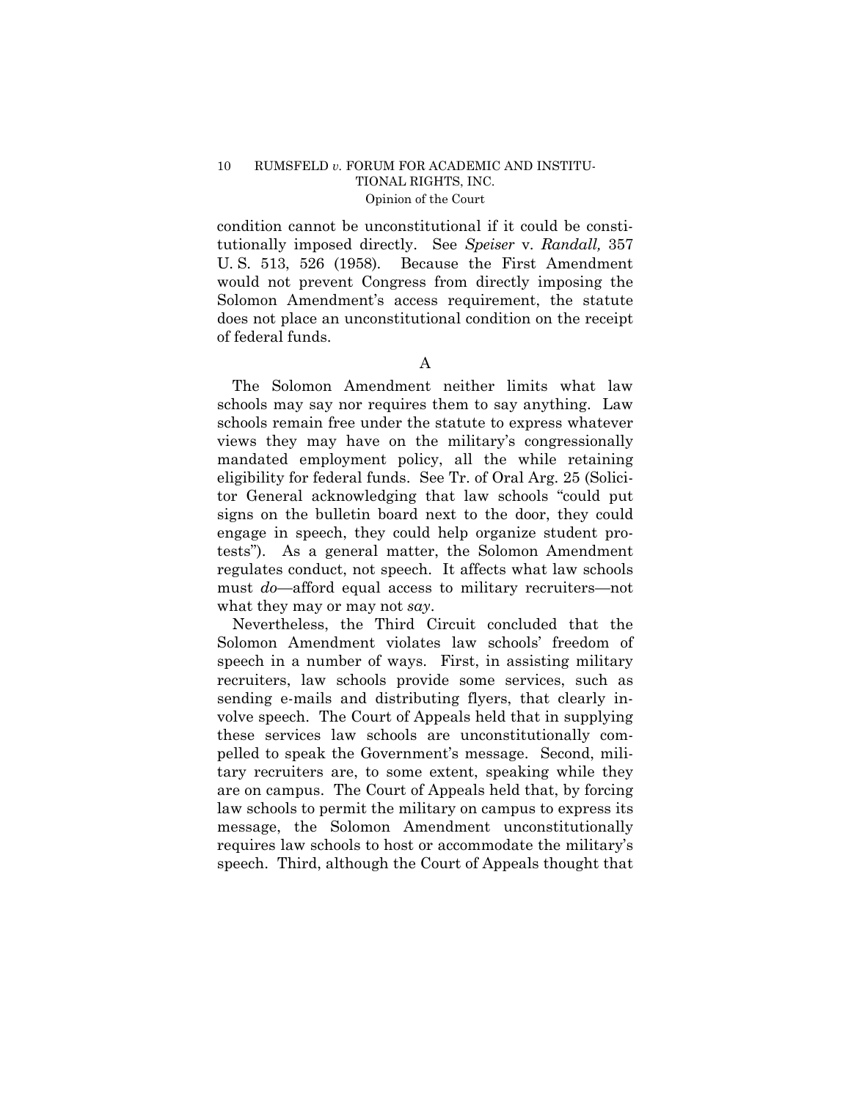condition cannot be unconstitutional if it could be constitutionally imposed directly. See *Speiser* v. *Randall,* 357 U. S. 513, 526 (1958). Because the First Amendment would not prevent Congress from directly imposing the Solomon Amendment's access requirement, the statute does not place an unconstitutional condition on the receipt of federal funds.

A

The Solomon Amendment neither limits what law schools may say nor requires them to say anything. Law schools remain free under the statute to express whatever views they may have on the military's congressionally mandated employment policy, all the while retaining eligibility for federal funds. See Tr. of Oral Arg. 25 (Solicitor General acknowledging that law schools "could put signs on the bulletin board next to the door, they could engage in speech, they could help organize student protests"). As a general matter, the Solomon Amendment regulates conduct, not speech. It affects what law schools must *do*—afford equal access to military recruiters—not what they may or may not *say*.

Nevertheless, the Third Circuit concluded that the Solomon Amendment violates law schools' freedom of speech in a number of ways. First, in assisting military recruiters, law schools provide some services, such as sending e-mails and distributing flyers, that clearly involve speech. The Court of Appeals held that in supplying these services law schools are unconstitutionally compelled to speak the Government's message. Second, military recruiters are, to some extent, speaking while they are on campus. The Court of Appeals held that, by forcing law schools to permit the military on campus to express its message, the Solomon Amendment unconstitutionally requires law schools to host or accommodate the military's speech. Third, although the Court of Appeals thought that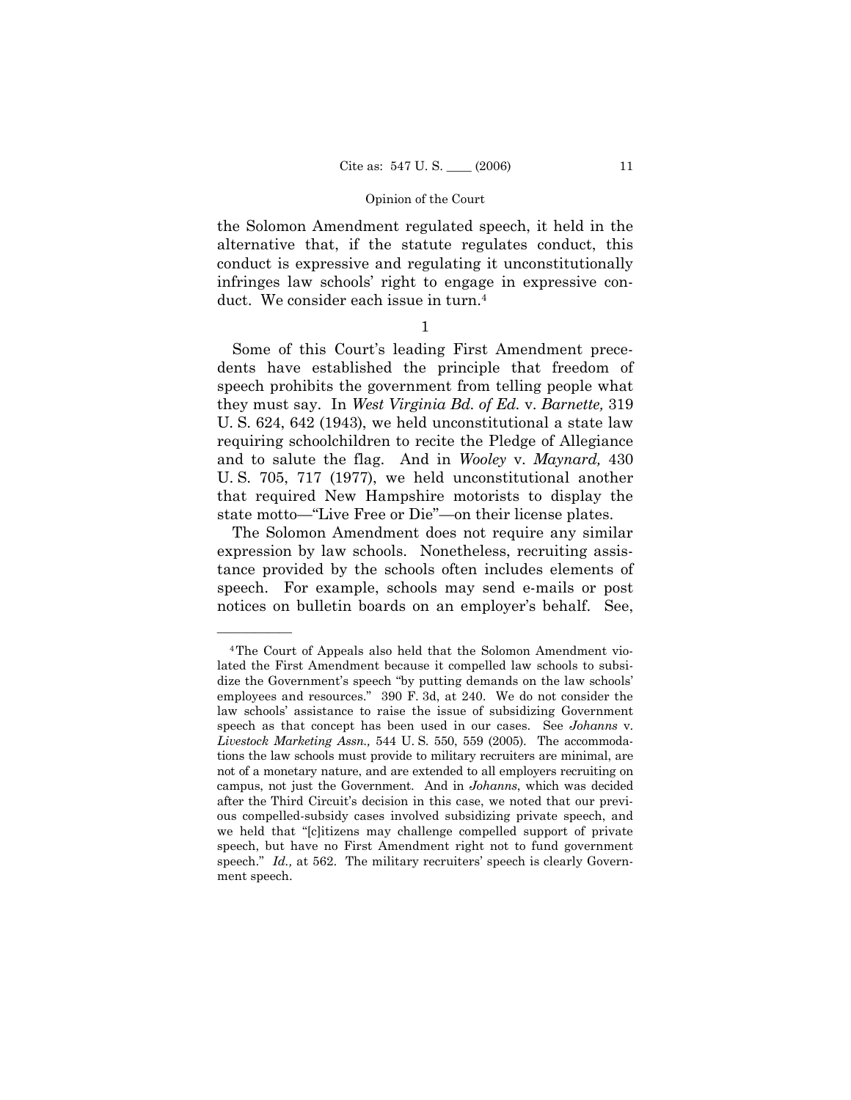the Solomon Amendment regulated speech, it held in the alternative that, if the statute regulates conduct, this conduct is expressive and regulating it unconstitutionally infringes law schools' right to engage in expressive conduct. We consider each issue in turn.<sup>4</sup>

1

Some of this Court's leading First Amendment precedents have established the principle that freedom of speech prohibits the government from telling people what they must say. In *West Virginia Bd. of Ed.* v. *Barnette,* 319 U. S. 624, 642 (1943), we held unconstitutional a state law requiring schoolchildren to recite the Pledge of Allegiance and to salute the flag. And in *Wooley* v. *Maynard,* 430 U. S. 705, 717 (1977), we held unconstitutional another that required New Hampshire motorists to display the state motto—"Live Free or Die"—on their license plates.

The Solomon Amendment does not require any similar expression by law schools. Nonetheless, recruiting assistance provided by the schools often includes elements of speech. For example, schools may send e-mails or post notices on bulletin boards on an employer's behalf. See,

——————

<sup>4</sup>The Court of Appeals also held that the Solomon Amendment violated the First Amendment because it compelled law schools to subsidize the Government's speech "by putting demands on the law schools' employees and resources." 390 F. 3d, at 240. We do not consider the law schools' assistance to raise the issue of subsidizing Government speech as that concept has been used in our cases. See *Johanns* v. *Livestock Marketing Assn.,* 544 U. S. 550, 559 (2005). The accommodations the law schools must provide to military recruiters are minimal, are not of a monetary nature, and are extended to all employers recruiting on campus, not just the Government. And in *Johanns*, which was decided after the Third Circuit's decision in this case, we noted that our previous compelled-subsidy cases involved subsidizing private speech, and we held that "[c]itizens may challenge compelled support of private speech, but have no First Amendment right not to fund government speech." *Id.*, at 562. The military recruiters' speech is clearly Government speech.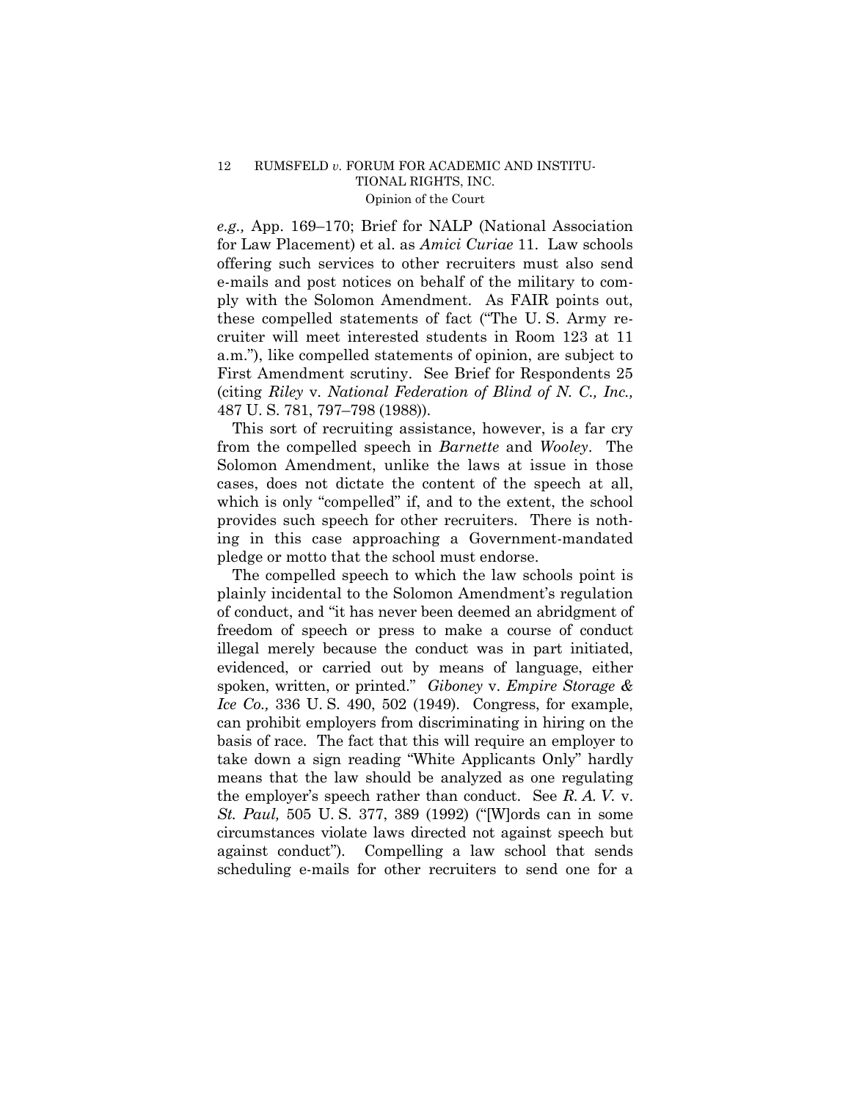*e.g.,* App. 169–170; Brief for NALP (National Association for Law Placement) et al. as *Amici Curiae* 11. Law schools offering such services to other recruiters must also send e-mails and post notices on behalf of the military to comply with the Solomon Amendment. As FAIR points out, these compelled statements of fact ("The U. S. Army recruiter will meet interested students in Room 123 at 11 a.m."), like compelled statements of opinion, are subject to First Amendment scrutiny. See Brief for Respondents 25 (citing *Riley* v. *National Federation of Blind of N. C., Inc.,*  487 U. S. 781, 797–798 (1988)).

This sort of recruiting assistance, however, is a far cry from the compelled speech in *Barnette* and *Wooley*. The Solomon Amendment, unlike the laws at issue in those cases, does not dictate the content of the speech at all, which is only "compelled" if, and to the extent, the school provides such speech for other recruiters. There is nothing in this case approaching a Government-mandated pledge or motto that the school must endorse.

The compelled speech to which the law schools point is plainly incidental to the Solomon Amendment's regulation of conduct, and "it has never been deemed an abridgment of freedom of speech or press to make a course of conduct illegal merely because the conduct was in part initiated, evidenced, or carried out by means of language, either spoken, written, or printed." *Giboney* v. *Empire Storage & Ice Co.,* 336 U. S. 490, 502 (1949). Congress, for example, can prohibit employers from discriminating in hiring on the basis of race. The fact that this will require an employer to take down a sign reading "White Applicants Only" hardly means that the law should be analyzed as one regulating the employer's speech rather than conduct. See *R. A. V.* v. *St. Paul,* 505 U. S. 377, 389 (1992) ("[W]ords can in some circumstances violate laws directed not against speech but against conduct"). Compelling a law school that sends scheduling e-mails for other recruiters to send one for a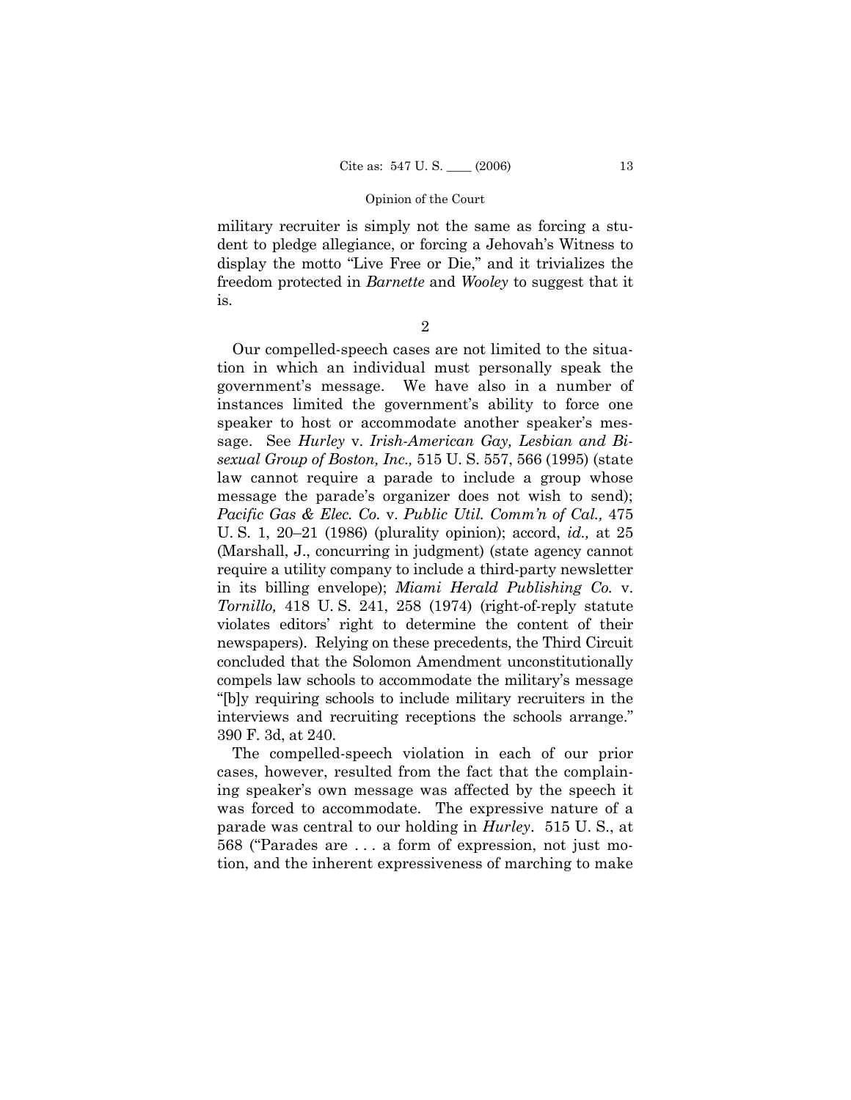military recruiter is simply not the same as forcing a student to pledge allegiance, or forcing a Jehovah's Witness to display the motto "Live Free or Die," and it trivializes the freedom protected in *Barnette* and *Wooley* to suggest that it is.

2

Our compelled-speech cases are not limited to the situation in which an individual must personally speak the government's message. We have also in a number of instances limited the government's ability to force one speaker to host or accommodate another speaker's message. See *Hurley* v. *Irish-American Gay, Lesbian and Bisexual Group of Boston, Inc.,* 515 U. S. 557, 566 (1995) (state law cannot require a parade to include a group whose message the parade's organizer does not wish to send); *Pacific Gas & Elec. Co.* v. *Public Util. Comm'n of Cal.,* 475 U. S. 1, 20–21 (1986) (plurality opinion); accord, *id.,* at 25 (Marshall, J., concurring in judgment) (state agency cannot require a utility company to include a third-party newsletter in its billing envelope); *Miami Herald Publishing Co.* v. *Tornillo,* 418 U. S. 241, 258 (1974) (right-of-reply statute violates editors' right to determine the content of their newspapers). Relying on these precedents, the Third Circuit concluded that the Solomon Amendment unconstitutionally compels law schools to accommodate the military's message "[b]y requiring schools to include military recruiters in the interviews and recruiting receptions the schools arrange." 390 F. 3d, at 240.

The compelled-speech violation in each of our prior cases, however, resulted from the fact that the complaining speaker's own message was affected by the speech it was forced to accommodate. The expressive nature of a parade was central to our holding in *Hurley*. 515 U. S., at 568 ("Parades are . . . a form of expression, not just motion, and the inherent expressiveness of marching to make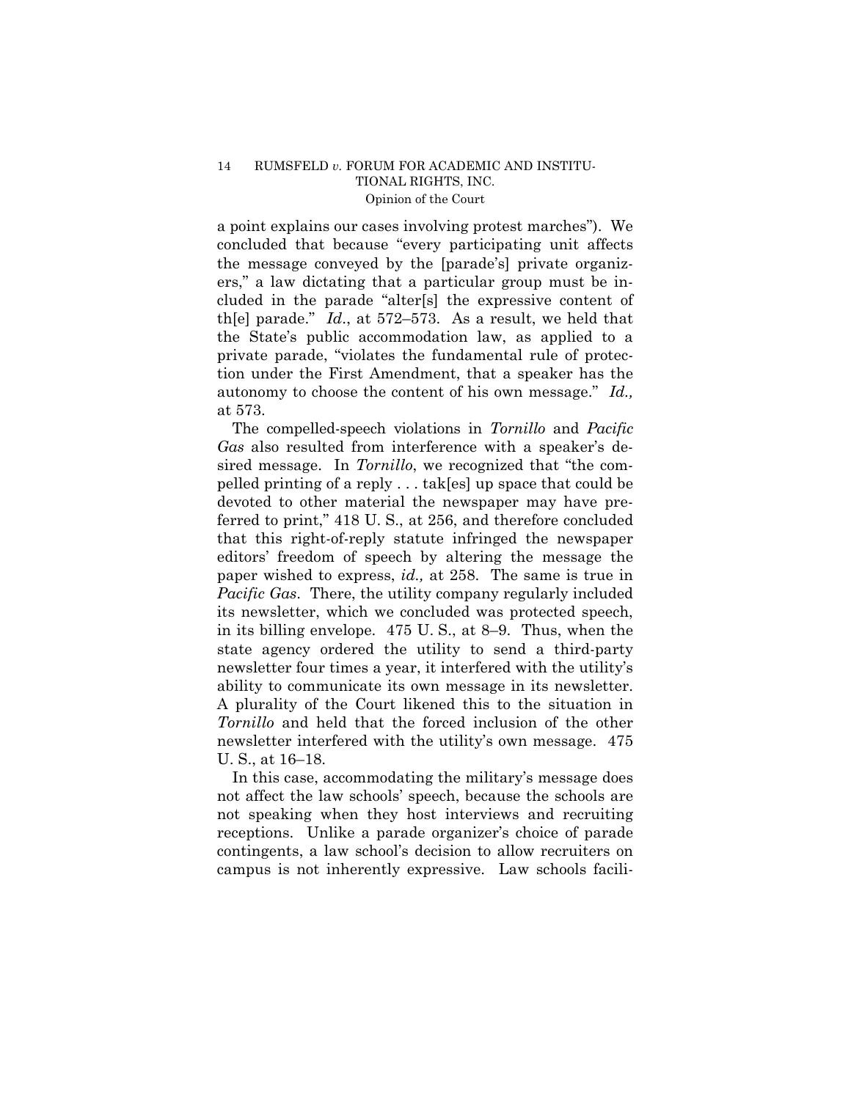a point explains our cases involving protest marches"). We concluded that because "every participating unit affects the message conveyed by the [parade's] private organizers," a law dictating that a particular group must be included in the parade "alter[s] the expressive content of th[e] parade." *Id*., at 572–573. As a result, we held that the State's public accommodation law, as applied to a private parade, "violates the fundamental rule of protection under the First Amendment, that a speaker has the autonomy to choose the content of his own message." *Id.,*  at 573.

The compelled-speech violations in *Tornillo* and *Pacific Gas* also resulted from interference with a speaker's desired message. In *Tornillo*, we recognized that "the compelled printing of a reply . . . tak[es] up space that could be devoted to other material the newspaper may have preferred to print," 418 U. S., at 256, and therefore concluded that this right-of-reply statute infringed the newspaper editors' freedom of speech by altering the message the paper wished to express, *id.,* at 258. The same is true in *Pacific Gas*. There, the utility company regularly included its newsletter, which we concluded was protected speech, in its billing envelope. 475 U. S., at 8–9. Thus, when the state agency ordered the utility to send a third-party newsletter four times a year, it interfered with the utility's ability to communicate its own message in its newsletter. A plurality of the Court likened this to the situation in *Tornillo* and held that the forced inclusion of the other newsletter interfered with the utility's own message. 475 U. S., at 16–18.

In this case, accommodating the military's message does not affect the law schools' speech, because the schools are not speaking when they host interviews and recruiting receptions. Unlike a parade organizer's choice of parade contingents, a law school's decision to allow recruiters on campus is not inherently expressive. Law schools facili-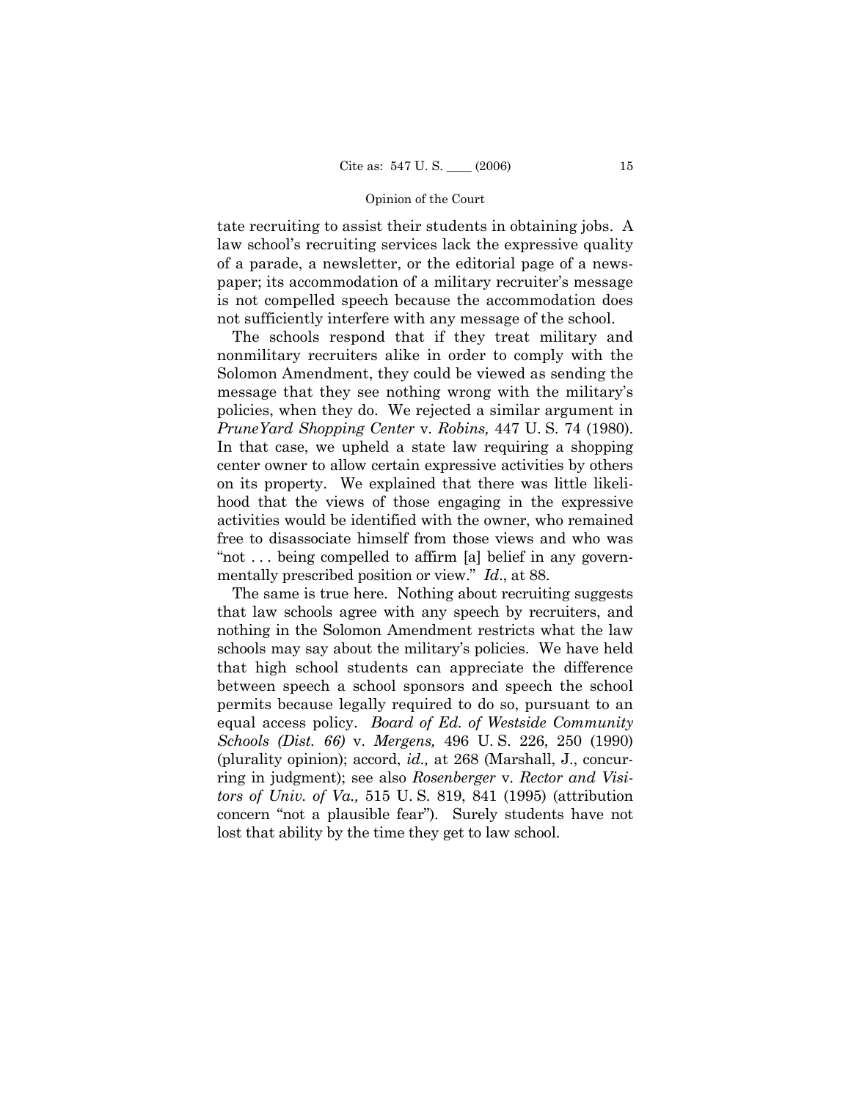tate recruiting to assist their students in obtaining jobs. A law school's recruiting services lack the expressive quality of a parade, a newsletter, or the editorial page of a newspaper; its accommodation of a military recruiter's message is not compelled speech because the accommodation does not sufficiently interfere with any message of the school.

The schools respond that if they treat military and nonmilitary recruiters alike in order to comply with the Solomon Amendment, they could be viewed as sending the message that they see nothing wrong with the military's policies, when they do. We rejected a similar argument in *PruneYard Shopping Center* v. *Robins,* 447 U. S. 74 (1980). In that case, we upheld a state law requiring a shopping center owner to allow certain expressive activities by others on its property. We explained that there was little likelihood that the views of those engaging in the expressive activities would be identified with the owner, who remained free to disassociate himself from those views and who was "not . . . being compelled to affirm [a] belief in any governmentally prescribed position or view." *Id*., at 88.

The same is true here. Nothing about recruiting suggests that law schools agree with any speech by recruiters, and nothing in the Solomon Amendment restricts what the law schools may say about the military's policies. We have held that high school students can appreciate the difference between speech a school sponsors and speech the school permits because legally required to do so, pursuant to an equal access policy. *Board of Ed. of Westside Community Schools (Dist. 66)* v. *Mergens,* 496 U. S. 226, 250 (1990) (plurality opinion); accord, *id.,* at 268 (Marshall, J., concurring in judgment); see also *Rosenberger* v. *Rector and Visitors of Univ. of Va.,* 515 U. S. 819, 841 (1995) (attribution concern "not a plausible fear"). Surely students have not lost that ability by the time they get to law school.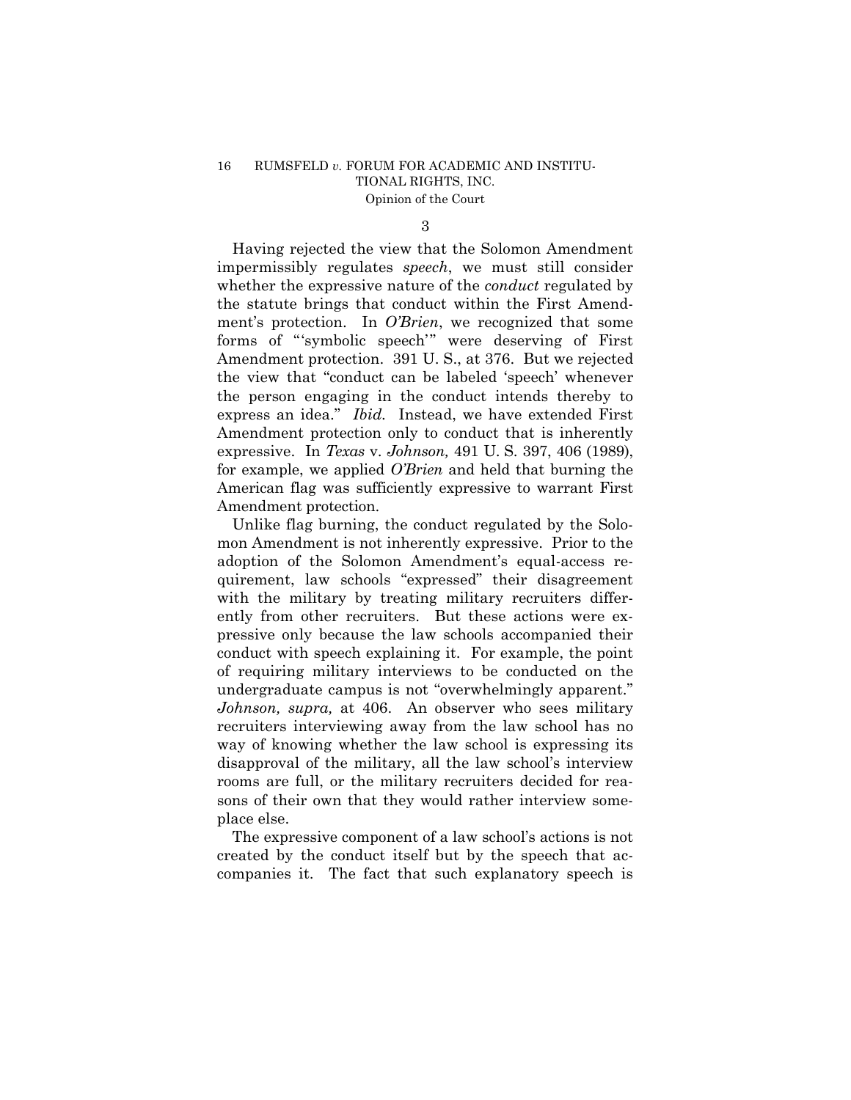3

Having rejected the view that the Solomon Amendment impermissibly regulates *speech*, we must still consider whether the expressive nature of the *conduct* regulated by the statute brings that conduct within the First Amendment's protection. In *O'Brien*, we recognized that some forms of "'symbolic speech'" were deserving of First Amendment protection. 391 U. S., at 376. But we rejected the view that "conduct can be labeled 'speech' whenever the person engaging in the conduct intends thereby to express an idea." *Ibid.* Instead, we have extended First Amendment protection only to conduct that is inherently expressive. In *Texas* v. *Johnson,* 491 U. S. 397, 406 (1989), for example, we applied *O'Brien* and held that burning the American flag was sufficiently expressive to warrant First Amendment protection.

Unlike flag burning, the conduct regulated by the Solomon Amendment is not inherently expressive. Prior to the adoption of the Solomon Amendment's equal-access requirement, law schools "expressed" their disagreement with the military by treating military recruiters differently from other recruiters. But these actions were expressive only because the law schools accompanied their conduct with speech explaining it. For example, the point of requiring military interviews to be conducted on the undergraduate campus is not "overwhelmingly apparent." *Johnson, supra,* at 406. An observer who sees military recruiters interviewing away from the law school has no way of knowing whether the law school is expressing its disapproval of the military, all the law school's interview rooms are full, or the military recruiters decided for reasons of their own that they would rather interview someplace else.

The expressive component of a law school's actions is not created by the conduct itself but by the speech that accompanies it. The fact that such explanatory speech is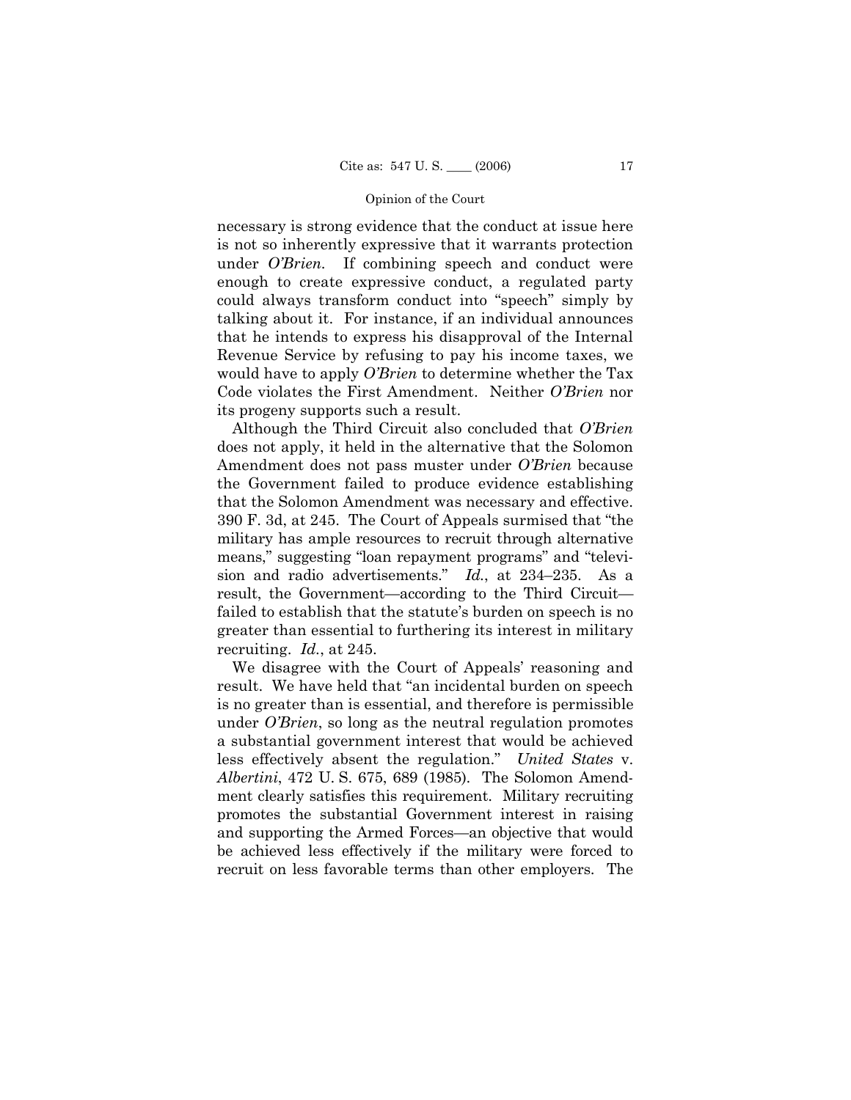necessary is strong evidence that the conduct at issue here is not so inherently expressive that it warrants protection under *O'Brien.* If combining speech and conduct were enough to create expressive conduct, a regulated party could always transform conduct into "speech" simply by talking about it. For instance, if an individual announces that he intends to express his disapproval of the Internal Revenue Service by refusing to pay his income taxes, we would have to apply *O'Brien* to determine whether the Tax Code violates the First Amendment. Neither *O'Brien* nor its progeny supports such a result.

Although the Third Circuit also concluded that *O'Brien*  does not apply, it held in the alternative that the Solomon Amendment does not pass muster under *O'Brien* because the Government failed to produce evidence establishing that the Solomon Amendment was necessary and effective. 390 F. 3d, at 245. The Court of Appeals surmised that "the military has ample resources to recruit through alternative means," suggesting "loan repayment programs" and "television and radio advertisements." *Id.*, at 234–235. As a result, the Government—according to the Third Circuit failed to establish that the statute's burden on speech is no greater than essential to furthering its interest in military recruiting. *Id.*, at 245.

We disagree with the Court of Appeals' reasoning and result. We have held that "an incidental burden on speech is no greater than is essential, and therefore is permissible under *O'Brien*, so long as the neutral regulation promotes a substantial government interest that would be achieved less effectively absent the regulation." *United States* v. *Albertini*, 472 U. S. 675, 689 (1985). The Solomon Amendment clearly satisfies this requirement. Military recruiting promotes the substantial Government interest in raising and supporting the Armed Forces—an objective that would be achieved less effectively if the military were forced to recruit on less favorable terms than other employers. The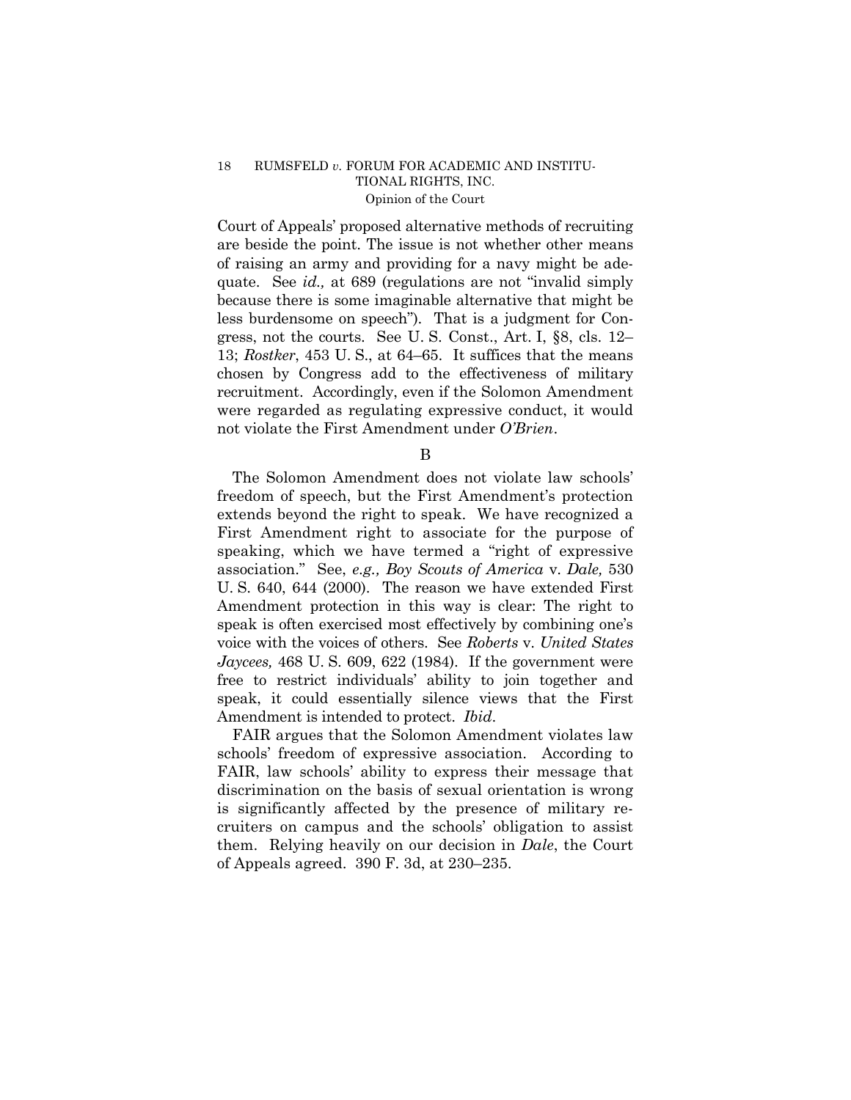Court of Appeals' proposed alternative methods of recruiting are beside the point. The issue is not whether other means of raising an army and providing for a navy might be adequate. See *id.,* at 689 (regulations are not "invalid simply because there is some imaginable alternative that might be less burdensome on speech"). That is a judgment for Congress, not the courts. See U. S. Const., Art. I, §8, cls. 12– 13; *Rostker*, 453 U. S., at 64–65. It suffices that the means chosen by Congress add to the effectiveness of military recruitment. Accordingly, even if the Solomon Amendment were regarded as regulating expressive conduct, it would not violate the First Amendment under *O'Brien*.

B

The Solomon Amendment does not violate law schools' freedom of speech, but the First Amendment's protection extends beyond the right to speak. We have recognized a First Amendment right to associate for the purpose of speaking, which we have termed a "right of expressive association." See, *e.g., Boy Scouts of America* v. *Dale,* 530 U. S. 640, 644 (2000). The reason we have extended First Amendment protection in this way is clear: The right to speak is often exercised most effectively by combining one's voice with the voices of others. See *Roberts* v. *United States Jaycees,* 468 U. S. 609, 622 (1984). If the government were free to restrict individuals' ability to join together and speak, it could essentially silence views that the First Amendment is intended to protect. *Ibid*.

FAIR argues that the Solomon Amendment violates law schools' freedom of expressive association. According to FAIR, law schools' ability to express their message that discrimination on the basis of sexual orientation is wrong is significantly affected by the presence of military recruiters on campus and the schools' obligation to assist them. Relying heavily on our decision in *Dale*, the Court of Appeals agreed. 390 F. 3d, at 230–235.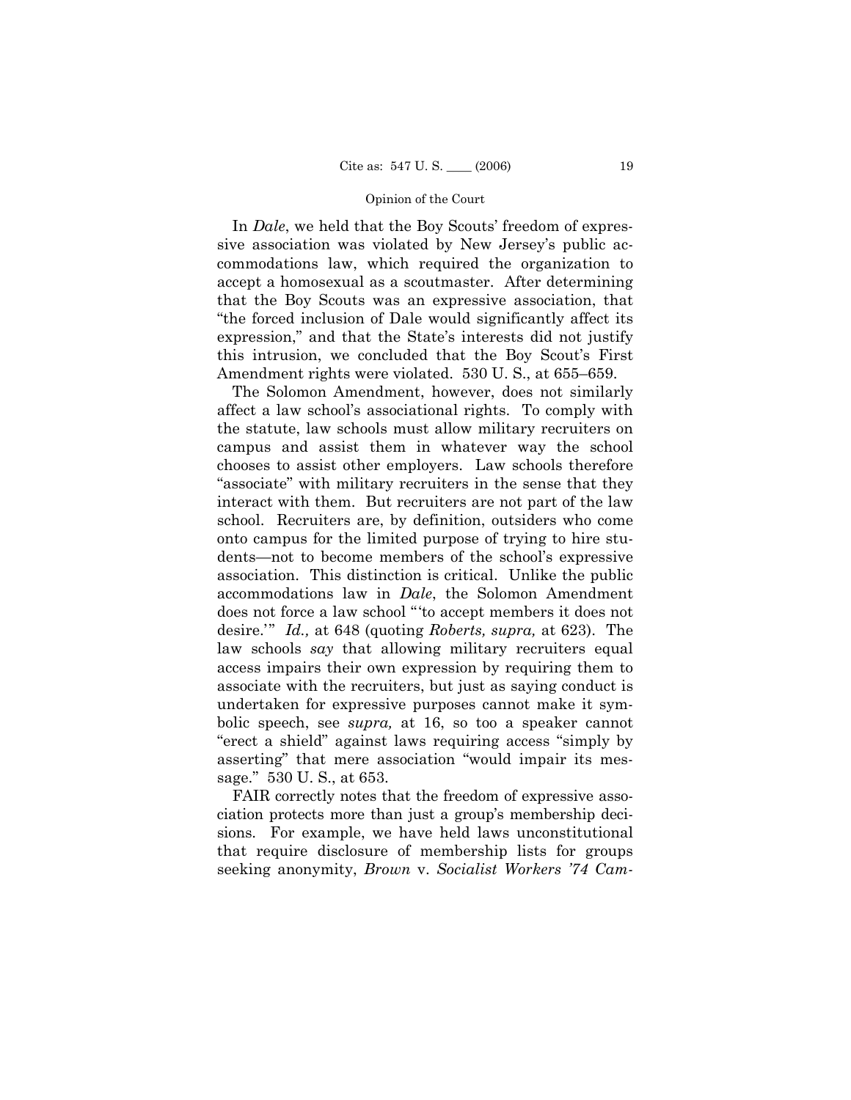In *Dale*, we held that the Boy Scouts' freedom of expressive association was violated by New Jersey's public accommodations law, which required the organization to accept a homosexual as a scoutmaster. After determining that the Boy Scouts was an expressive association, that "the forced inclusion of Dale would significantly affect its expression," and that the State's interests did not justify this intrusion, we concluded that the Boy Scout's First Amendment rights were violated. 530 U. S., at 655–659.

The Solomon Amendment, however, does not similarly affect a law school's associational rights. To comply with the statute, law schools must allow military recruiters on campus and assist them in whatever way the school chooses to assist other employers. Law schools therefore "associate" with military recruiters in the sense that they interact with them. But recruiters are not part of the law school. Recruiters are, by definition, outsiders who come onto campus for the limited purpose of trying to hire students—not to become members of the school's expressive association. This distinction is critical. Unlike the public accommodations law in *Dale*, the Solomon Amendment does not force a law school " 'to accept members it does not desire.'" *Id.,* at 648 (quoting *Roberts, supra,* at 623). The law schools *say* that allowing military recruiters equal access impairs their own expression by requiring them to associate with the recruiters, but just as saying conduct is undertaken for expressive purposes cannot make it symbolic speech, see *supra,* at 16, so too a speaker cannot "erect a shield" against laws requiring access "simply by asserting" that mere association "would impair its message." 530 U. S., at 653.

FAIR correctly notes that the freedom of expressive association protects more than just a group's membership decisions. For example, we have held laws unconstitutional that require disclosure of membership lists for groups seeking anonymity, *Brown* v. *Socialist Workers '74 Cam-*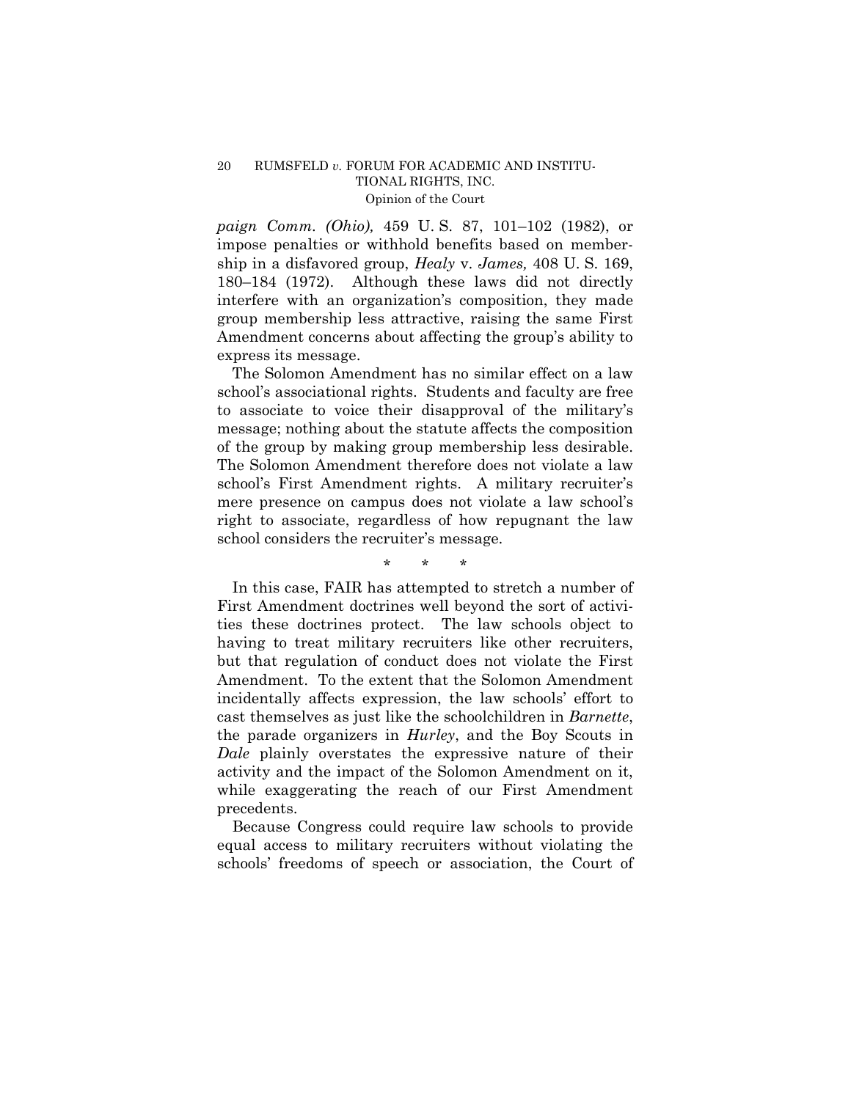*paign Comm. (Ohio),* 459 U. S. 87, 101–102 (1982), or impose penalties or withhold benefits based on membership in a disfavored group, *Healy* v. *James,* 408 U. S. 169, 180–184 (1972). Although these laws did not directly interfere with an organization's composition, they made group membership less attractive, raising the same First Amendment concerns about affecting the group's ability to express its message.

The Solomon Amendment has no similar effect on a law school's associational rights. Students and faculty are free to associate to voice their disapproval of the military's message; nothing about the statute affects the composition of the group by making group membership less desirable. The Solomon Amendment therefore does not violate a law school's First Amendment rights. A military recruiter's mere presence on campus does not violate a law school's right to associate, regardless of how repugnant the law school considers the recruiter's message.

\* \* \*

In this case, FAIR has attempted to stretch a number of First Amendment doctrines well beyond the sort of activities these doctrines protect. The law schools object to having to treat military recruiters like other recruiters, but that regulation of conduct does not violate the First Amendment. To the extent that the Solomon Amendment incidentally affects expression, the law schools' effort to cast themselves as just like the schoolchildren in *Barnette*, the parade organizers in *Hurley*, and the Boy Scouts in *Dale* plainly overstates the expressive nature of their activity and the impact of the Solomon Amendment on it, while exaggerating the reach of our First Amendment precedents.

Because Congress could require law schools to provide equal access to military recruiters without violating the schools' freedoms of speech or association, the Court of